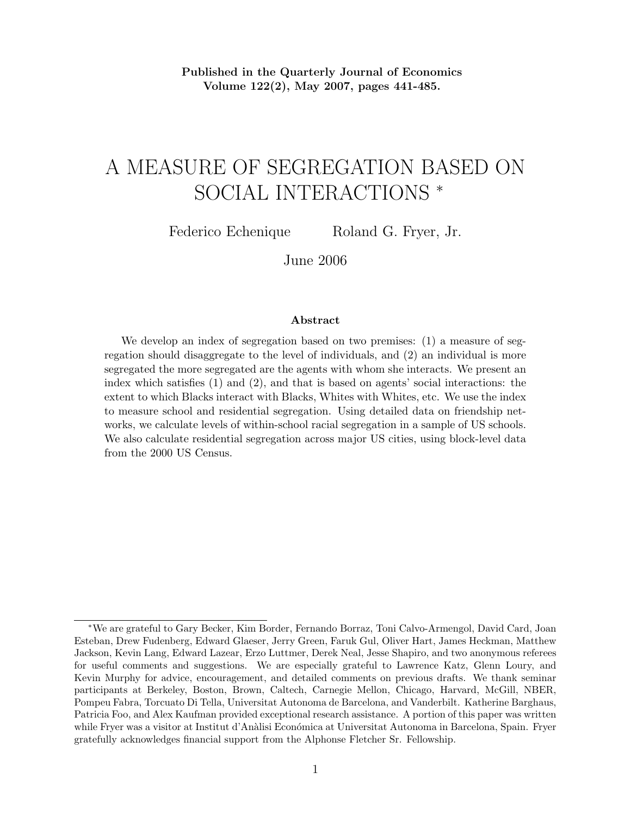Published in the Quarterly Journal of Economics Volume 122(2), May 2007, pages 441-485.

# A MEASURE OF SEGREGATION BASED ON SOCIAL INTERACTIONS <sup>∗</sup>

Federico Echenique Roland G. Fryer, Jr.

June 2006

#### Abstract

We develop an index of segregation based on two premises: (1) a measure of segregation should disaggregate to the level of individuals, and (2) an individual is more segregated the more segregated are the agents with whom she interacts. We present an index which satisfies (1) and (2), and that is based on agents' social interactions: the extent to which Blacks interact with Blacks, Whites with Whites, etc. We use the index to measure school and residential segregation. Using detailed data on friendship networks, we calculate levels of within-school racial segregation in a sample of US schools. We also calculate residential segregation across major US cities, using block-level data from the 2000 US Census.

<sup>∗</sup>We are grateful to Gary Becker, Kim Border, Fernando Borraz, Toni Calvo-Armengol, David Card, Joan Esteban, Drew Fudenberg, Edward Glaeser, Jerry Green, Faruk Gul, Oliver Hart, James Heckman, Matthew Jackson, Kevin Lang, Edward Lazear, Erzo Luttmer, Derek Neal, Jesse Shapiro, and two anonymous referees for useful comments and suggestions. We are especially grateful to Lawrence Katz, Glenn Loury, and Kevin Murphy for advice, encouragement, and detailed comments on previous drafts. We thank seminar participants at Berkeley, Boston, Brown, Caltech, Carnegie Mellon, Chicago, Harvard, McGill, NBER, Pompeu Fabra, Torcuato Di Tella, Universitat Autonoma de Barcelona, and Vanderbilt. Katherine Barghaus, Patricia Foo, and Alex Kaufman provided exceptional research assistance. A portion of this paper was written while Fryer was a visitor at Institut d'Anàlisi Económica at Universitat Autonoma in Barcelona, Spain. Fryer gratefully acknowledges financial support from the Alphonse Fletcher Sr. Fellowship.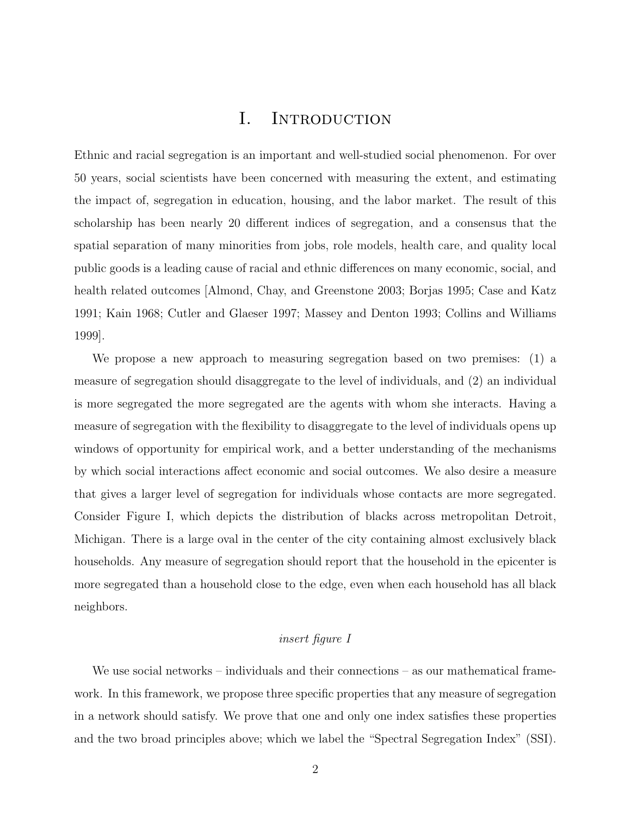## I. INTRODUCTION

Ethnic and racial segregation is an important and well-studied social phenomenon. For over 50 years, social scientists have been concerned with measuring the extent, and estimating the impact of, segregation in education, housing, and the labor market. The result of this scholarship has been nearly 20 different indices of segregation, and a consensus that the spatial separation of many minorities from jobs, role models, health care, and quality local public goods is a leading cause of racial and ethnic differences on many economic, social, and health related outcomes [Almond, Chay, and Greenstone 2003; Borjas 1995; Case and Katz 1991; Kain 1968; Cutler and Glaeser 1997; Massey and Denton 1993; Collins and Williams 1999].

We propose a new approach to measuring segregation based on two premises: (1) a measure of segregation should disaggregate to the level of individuals, and (2) an individual is more segregated the more segregated are the agents with whom she interacts. Having a measure of segregation with the flexibility to disaggregate to the level of individuals opens up windows of opportunity for empirical work, and a better understanding of the mechanisms by which social interactions affect economic and social outcomes. We also desire a measure that gives a larger level of segregation for individuals whose contacts are more segregated. Consider Figure I, which depicts the distribution of blacks across metropolitan Detroit, Michigan. There is a large oval in the center of the city containing almost exclusively black households. Any measure of segregation should report that the household in the epicenter is more segregated than a household close to the edge, even when each household has all black neighbors.

### insert figure I

We use social networks – individuals and their connections – as our mathematical framework. In this framework, we propose three specific properties that any measure of segregation in a network should satisfy. We prove that one and only one index satisfies these properties and the two broad principles above; which we label the "Spectral Segregation Index" (SSI).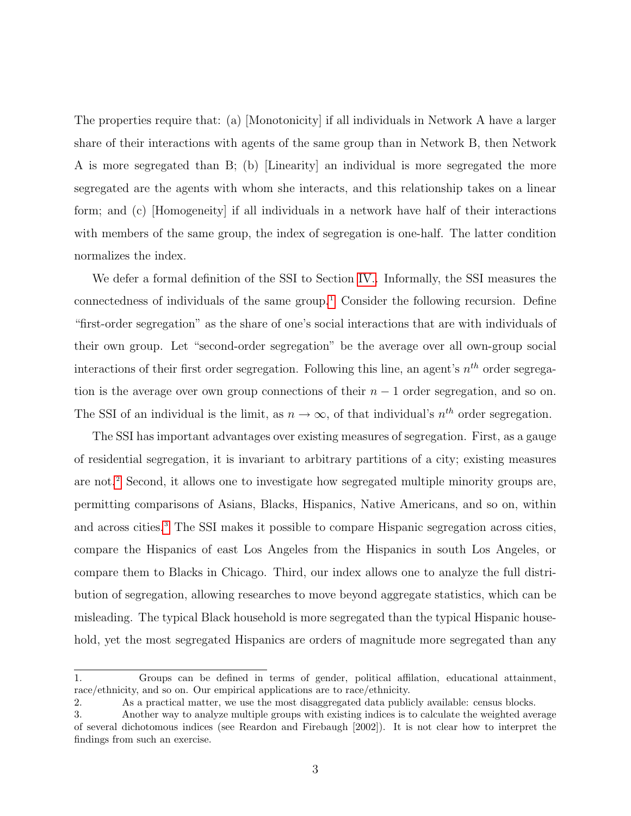The properties require that: (a) [Monotonicity] if all individuals in Network A have a larger share of their interactions with agents of the same group than in Network B, then Network A is more segregated than B; (b) [Linearity] an individual is more segregated the more segregated are the agents with whom she interacts, and this relationship takes on a linear form; and (c) [Homogeneity] if all individuals in a network have half of their interactions with members of the same group, the index of segregation is one-half. The latter condition normalizes the index.

We defer a formal definition of the SSI to Section [IV..](#page-9-0) Informally, the SSI measures the connectedness of individuals of the same group.<sup>[1](#page--1-0)</sup> Consider the following recursion. Define "first-order segregation" as the share of one's social interactions that are with individuals of their own group. Let "second-order segregation" be the average over all own-group social interactions of their first order segregation. Following this line, an agent's  $n^{th}$  order segregation is the average over own group connections of their  $n-1$  order segregation, and so on. The SSI of an individual is the limit, as  $n \to \infty$ , of that individual's  $n^{th}$  order segregation.

The SSI has important advantages over existing measures of segregation. First, as a gauge of residential segregation, it is invariant to arbitrary partitions of a city; existing measures are not.[2](#page--1-0) Second, it allows one to investigate how segregated multiple minority groups are, permitting comparisons of Asians, Blacks, Hispanics, Native Americans, and so on, within and across cities.<sup>[3](#page--1-0)</sup> The SSI makes it possible to compare Hispanic segregation across cities, compare the Hispanics of east Los Angeles from the Hispanics in south Los Angeles, or compare them to Blacks in Chicago. Third, our index allows one to analyze the full distribution of segregation, allowing researches to move beyond aggregate statistics, which can be misleading. The typical Black household is more segregated than the typical Hispanic household, yet the most segregated Hispanics are orders of magnitude more segregated than any

<sup>1.</sup> Groups can be defined in terms of gender, political affilation, educational attainment, race/ethnicity, and so on. Our empirical applications are to race/ethnicity.

<sup>2.</sup> As a practical matter, we use the most disaggregated data publicly available: census blocks.

<sup>3.</sup> Another way to analyze multiple groups with existing indices is to calculate the weighted average of several dichotomous indices (see Reardon and Firebaugh [2002]). It is not clear how to interpret the findings from such an exercise.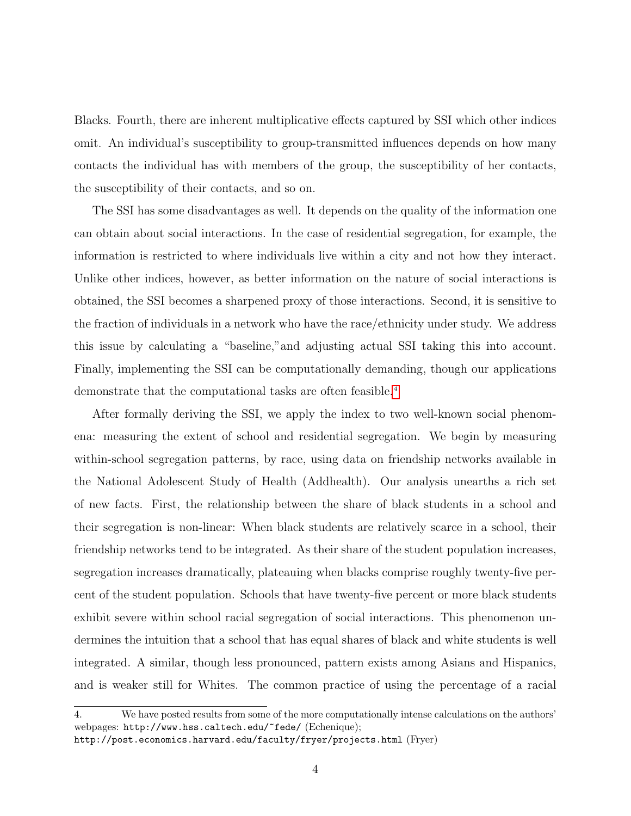Blacks. Fourth, there are inherent multiplicative effects captured by SSI which other indices omit. An individual's susceptibility to group-transmitted influences depends on how many contacts the individual has with members of the group, the susceptibility of her contacts, the susceptibility of their contacts, and so on.

The SSI has some disadvantages as well. It depends on the quality of the information one can obtain about social interactions. In the case of residential segregation, for example, the information is restricted to where individuals live within a city and not how they interact. Unlike other indices, however, as better information on the nature of social interactions is obtained, the SSI becomes a sharpened proxy of those interactions. Second, it is sensitive to the fraction of individuals in a network who have the race/ethnicity under study. We address this issue by calculating a "baseline,"and adjusting actual SSI taking this into account. Finally, implementing the SSI can be computationally demanding, though our applications demonstrate that the computational tasks are often feasible.<sup>[4](#page--1-0)</sup>

After formally deriving the SSI, we apply the index to two well-known social phenomena: measuring the extent of school and residential segregation. We begin by measuring within-school segregation patterns, by race, using data on friendship networks available in the National Adolescent Study of Health (Addhealth). Our analysis unearths a rich set of new facts. First, the relationship between the share of black students in a school and their segregation is non-linear: When black students are relatively scarce in a school, their friendship networks tend to be integrated. As their share of the student population increases, segregation increases dramatically, plateauing when blacks comprise roughly twenty-five percent of the student population. Schools that have twenty-five percent or more black students exhibit severe within school racial segregation of social interactions. This phenomenon undermines the intuition that a school that has equal shares of black and white students is well integrated. A similar, though less pronounced, pattern exists among Asians and Hispanics, and is weaker still for Whites. The common practice of using the percentage of a racial

<sup>4.</sup> We have posted results from some of the more computationally intense calculations on the authors' webpages: http://www.hss.caltech.edu/~fede/ (Echenique);

http://post.economics.harvard.edu/faculty/fryer/projects.html (Fryer)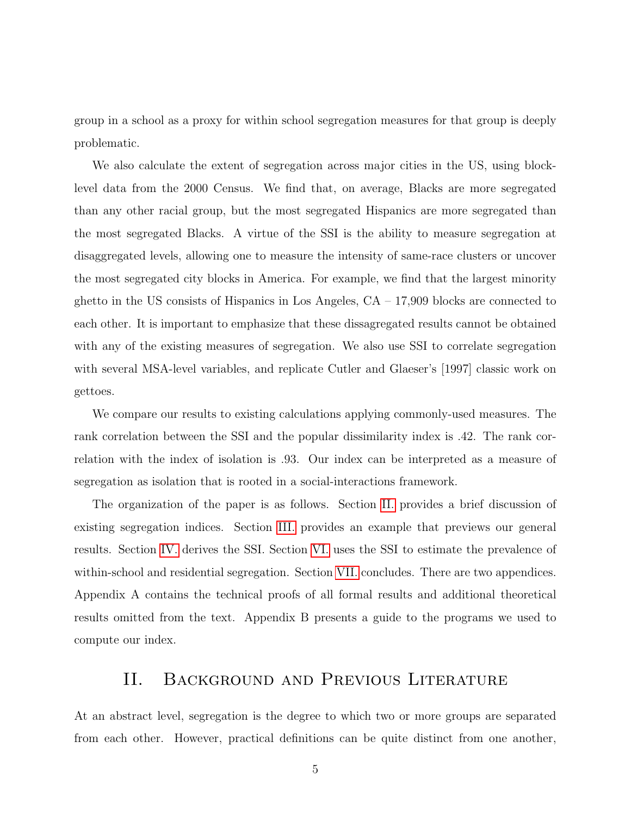group in a school as a proxy for within school segregation measures for that group is deeply problematic.

We also calculate the extent of segregation across major cities in the US, using blocklevel data from the 2000 Census. We find that, on average, Blacks are more segregated than any other racial group, but the most segregated Hispanics are more segregated than the most segregated Blacks. A virtue of the SSI is the ability to measure segregation at disaggregated levels, allowing one to measure the intensity of same-race clusters or uncover the most segregated city blocks in America. For example, we find that the largest minority ghetto in the US consists of Hispanics in Los Angeles,  $CA - 17,909$  blocks are connected to each other. It is important to emphasize that these dissagregated results cannot be obtained with any of the existing measures of segregation. We also use SSI to correlate segregation with several MSA-level variables, and replicate Cutler and Glaeser's [1997] classic work on gettoes.

We compare our results to existing calculations applying commonly-used measures. The rank correlation between the SSI and the popular dissimilarity index is .42. The rank correlation with the index of isolation is .93. Our index can be interpreted as a measure of segregation as isolation that is rooted in a social-interactions framework.

The organization of the paper is as follows. Section [II.](#page-4-0) provides a brief discussion of existing segregation indices. Section [III.](#page-7-0) provides an example that previews our general results. Section [IV.](#page-9-0) derives the SSI. Section [VI.](#page-19-0) uses the SSI to estimate the prevalence of within-school and residential segregation. Section [VII.](#page-28-0) concludes. There are two appendices. Appendix A contains the technical proofs of all formal results and additional theoretical results omitted from the text. Appendix B presents a guide to the programs we used to compute our index.

## II. Background and Previous Literature

<span id="page-4-0"></span>At an abstract level, segregation is the degree to which two or more groups are separated from each other. However, practical definitions can be quite distinct from one another,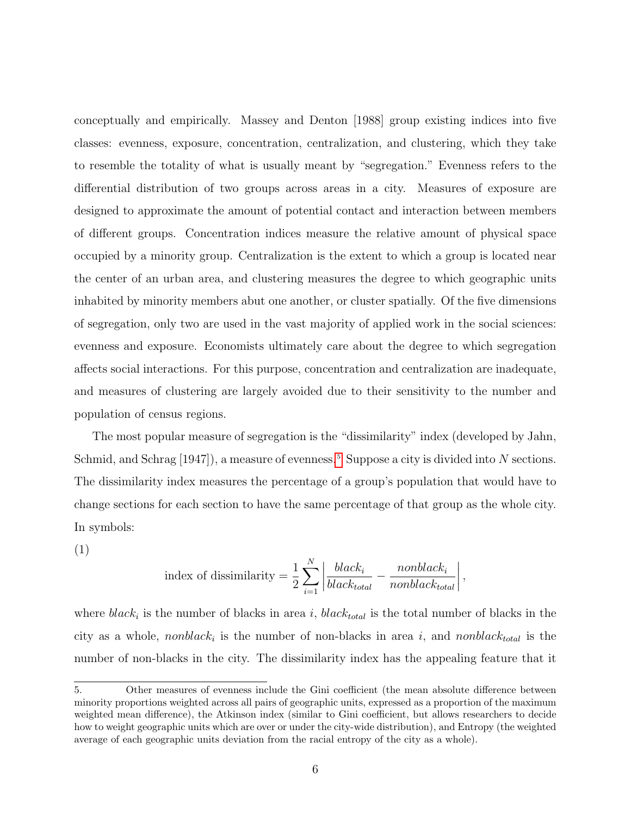conceptually and empirically. Massey and Denton [1988] group existing indices into five classes: evenness, exposure, concentration, centralization, and clustering, which they take to resemble the totality of what is usually meant by "segregation." Evenness refers to the differential distribution of two groups across areas in a city. Measures of exposure are designed to approximate the amount of potential contact and interaction between members of different groups. Concentration indices measure the relative amount of physical space occupied by a minority group. Centralization is the extent to which a group is located near the center of an urban area, and clustering measures the degree to which geographic units inhabited by minority members abut one another, or cluster spatially. Of the five dimensions of segregation, only two are used in the vast majority of applied work in the social sciences: evenness and exposure. Economists ultimately care about the degree to which segregation affects social interactions. For this purpose, concentration and centralization are inadequate, and measures of clustering are largely avoided due to their sensitivity to the number and population of census regions.

The most popular measure of segregation is the "dissimilarity" index (developed by Jahn, Schmid, and Schrag [1947]), a measure of evenness.<sup>[5](#page--1-0)</sup> Suppose a city is divided into N sections. The dissimilarity index measures the percentage of a group's population that would have to change sections for each section to have the same percentage of that group as the whole city. In symbols:

(1)

index of dissimilarity = 
$$
\frac{1}{2} \sum_{i=1}^{N} \left| \frac{black_i}{black_{total}} - \frac{nonblack_i}{nonblack_{total}} \right|,
$$

where  $black_i$  is the number of blacks in area i,  $black_{total}$  is the total number of blacks in the city as a whole, *nonblack<sub>i</sub>* is the number of non-blacks in area i, and *nonblack<sub>total</sub>* is the number of non-blacks in the city. The dissimilarity index has the appealing feature that it

<sup>5.</sup> Other measures of evenness include the Gini coefficient (the mean absolute difference between minority proportions weighted across all pairs of geographic units, expressed as a proportion of the maximum weighted mean difference), the Atkinson index (similar to Gini coefficient, but allows researchers to decide how to weight geographic units which are over or under the city-wide distribution), and Entropy (the weighted average of each geographic units deviation from the racial entropy of the city as a whole).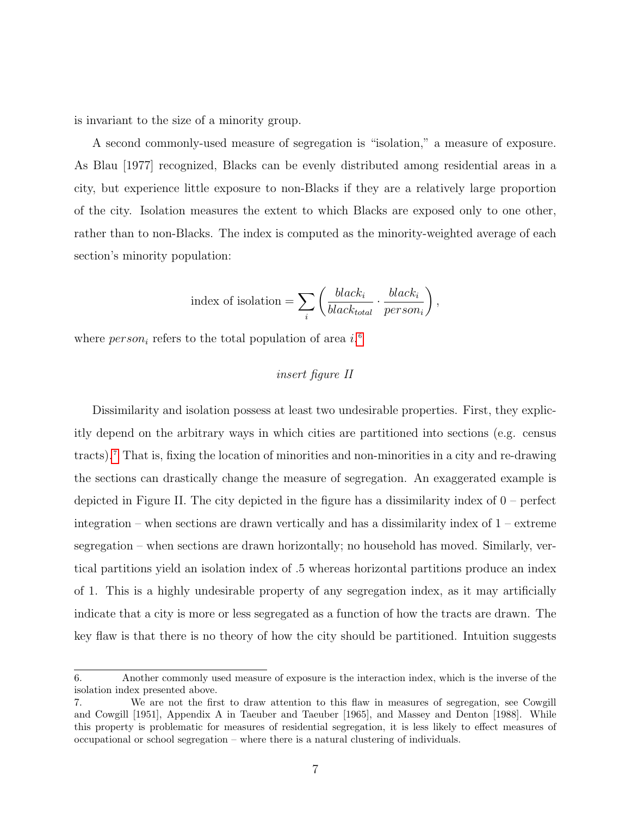is invariant to the size of a minority group.

A second commonly-used measure of segregation is "isolation," a measure of exposure. As Blau [1977] recognized, Blacks can be evenly distributed among residential areas in a city, but experience little exposure to non-Blacks if they are a relatively large proportion of the city. Isolation measures the extent to which Blacks are exposed only to one other, rather than to non-Blacks. The index is computed as the minority-weighted average of each section's minority population:

index of isolation = 
$$
\sum_{i} \left( \frac{black_i}{black_{total}} \cdot \frac{black_i}{person_i} \right),
$$

where  $person_i$  refers to the total population of area  $i$ .<sup>[6](#page--1-0)</sup>

### insert figure II

Dissimilarity and isolation possess at least two undesirable properties. First, they explicitly depend on the arbitrary ways in which cities are partitioned into sections (e.g. census tracts).[7](#page--1-0) That is, fixing the location of minorities and non-minorities in a city and re-drawing the sections can drastically change the measure of segregation. An exaggerated example is depicted in Figure II. The city depicted in the figure has a dissimilarity index of 0 – perfect integration – when sections are drawn vertically and has a dissimilarity index of 1 – extreme segregation – when sections are drawn horizontally; no household has moved. Similarly, vertical partitions yield an isolation index of .5 whereas horizontal partitions produce an index of 1. This is a highly undesirable property of any segregation index, as it may artificially indicate that a city is more or less segregated as a function of how the tracts are drawn. The key flaw is that there is no theory of how the city should be partitioned. Intuition suggests

<sup>6.</sup> Another commonly used measure of exposure is the interaction index, which is the inverse of the isolation index presented above.

<sup>7.</sup> We are not the first to draw attention to this flaw in measures of segregation, see Cowgill and Cowgill [1951], Appendix A in Taeuber and Taeuber [1965], and Massey and Denton [1988]. While this property is problematic for measures of residential segregation, it is less likely to effect measures of occupational or school segregation – where there is a natural clustering of individuals.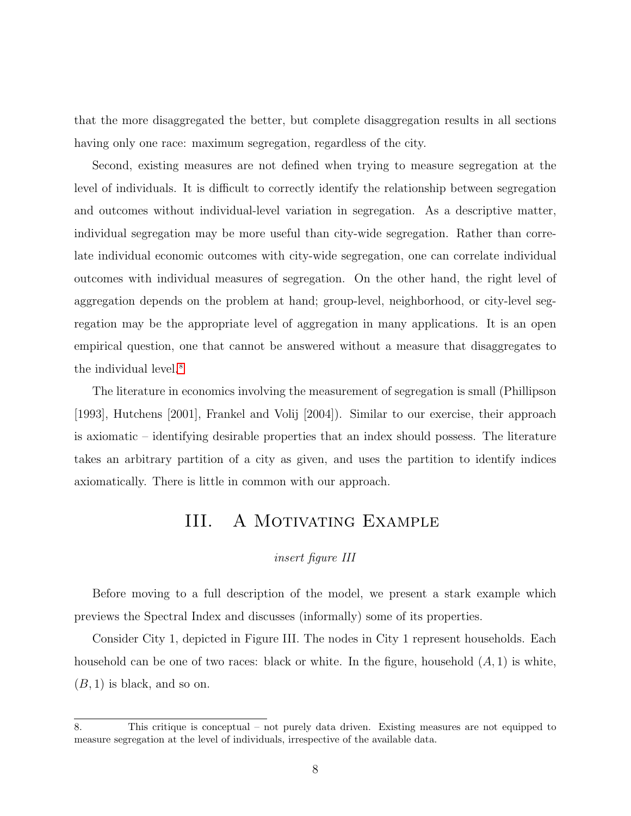that the more disaggregated the better, but complete disaggregation results in all sections having only one race: maximum segregation, regardless of the city.

Second, existing measures are not defined when trying to measure segregation at the level of individuals. It is difficult to correctly identify the relationship between segregation and outcomes without individual-level variation in segregation. As a descriptive matter, individual segregation may be more useful than city-wide segregation. Rather than correlate individual economic outcomes with city-wide segregation, one can correlate individual outcomes with individual measures of segregation. On the other hand, the right level of aggregation depends on the problem at hand; group-level, neighborhood, or city-level segregation may be the appropriate level of aggregation in many applications. It is an open empirical question, one that cannot be answered without a measure that disaggregates to the individual level.<sup>[8](#page--1-0)</sup>

The literature in economics involving the measurement of segregation is small (Phillipson [1993], Hutchens [2001], Frankel and Volij [2004]). Similar to our exercise, their approach is axiomatic – identifying desirable properties that an index should possess. The literature takes an arbitrary partition of a city as given, and uses the partition to identify indices axiomatically. There is little in common with our approach.

## III. A Motivating Example

### insert figure III

<span id="page-7-0"></span>Before moving to a full description of the model, we present a stark example which previews the Spectral Index and discusses (informally) some of its properties.

Consider City 1, depicted in Figure III. The nodes in City 1 represent households. Each household can be one of two races: black or white. In the figure, household  $(A, 1)$  is white,  $(B, 1)$  is black, and so on.

<sup>8.</sup> This critique is conceptual – not purely data driven. Existing measures are not equipped to measure segregation at the level of individuals, irrespective of the available data.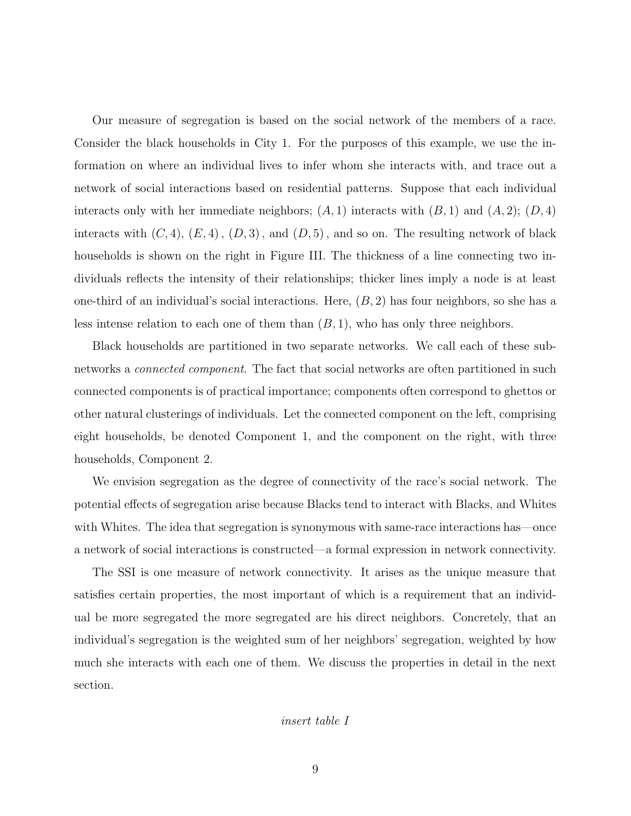Our measure of segregation is based on the social network of the members of a race. Consider the black households in City 1. For the purposes of this example, we use the information on where an individual lives to infer whom she interacts with, and trace out a network of social interactions based on residential patterns. Suppose that each individual interacts only with her immediate neighbors;  $(A, 1)$  interacts with  $(B, 1)$  and  $(A, 2)$ ;  $(D, 4)$ interacts with  $(C, 4)$ ,  $(E, 4)$ ,  $(D, 3)$ , and  $(D, 5)$ , and so on. The resulting network of black households is shown on the right in Figure III. The thickness of a line connecting two individuals reflects the intensity of their relationships; thicker lines imply a node is at least one-third of an individual's social interactions. Here,  $(B, 2)$  has four neighbors, so she has a less intense relation to each one of them than  $(B, 1)$ , who has only three neighbors.

Black households are partitioned in two separate networks. We call each of these subnetworks a *connected component*. The fact that social networks are often partitioned in such connected components is of practical importance; components often correspond to ghettos or other natural clusterings of individuals. Let the connected component on the left, comprising eight households, be denoted Component 1, and the component on the right, with three households, Component 2.

We envision segregation as the degree of connectivity of the race's social network. The potential effects of segregation arise because Blacks tend to interact with Blacks, and Whites with Whites. The idea that segregation is synonymous with same-race interactions has—once a network of social interactions is constructed—a formal expression in network connectivity.

The SSI is one measure of network connectivity. It arises as the unique measure that satisfies certain properties, the most important of which is a requirement that an individual be more segregated the more segregated are his direct neighbors. Concretely, that an individual's segregation is the weighted sum of her neighbors' segregation, weighted by how much she interacts with each one of them. We discuss the properties in detail in the next section.

#### insert table I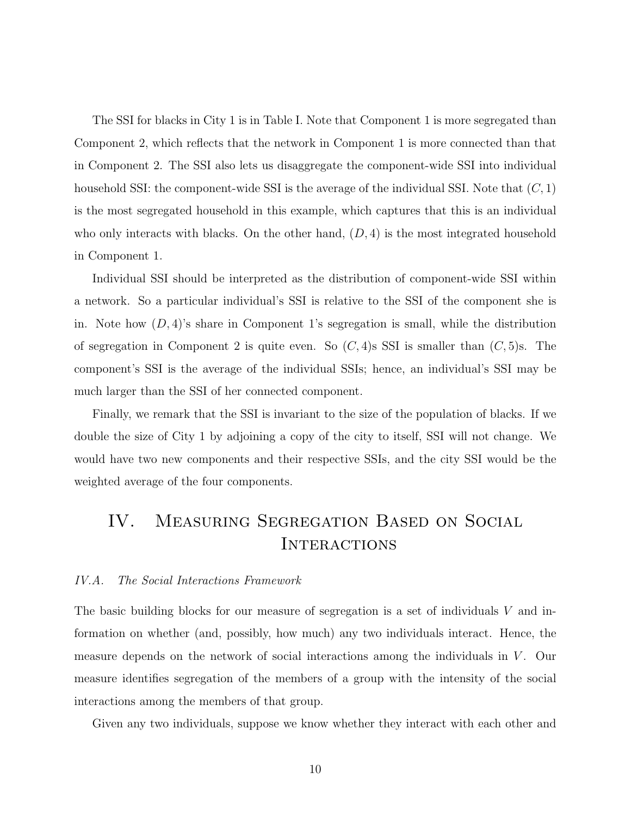The SSI for blacks in City 1 is in Table I. Note that Component 1 is more segregated than Component 2, which reflects that the network in Component 1 is more connected than that in Component 2. The SSI also lets us disaggregate the component-wide SSI into individual household SSI: the component-wide SSI is the average of the individual SSI. Note that  $(C, 1)$ is the most segregated household in this example, which captures that this is an individual who only interacts with blacks. On the other hand,  $(D, 4)$  is the most integrated household in Component 1.

Individual SSI should be interpreted as the distribution of component-wide SSI within a network. So a particular individual's SSI is relative to the SSI of the component she is in. Note how  $(D, 4)$ 's share in Component 1's segregation is small, while the distribution of segregation in Component 2 is quite even. So  $(C, 4)$ s SSI is smaller than  $(C, 5)$ s. The component's SSI is the average of the individual SSIs; hence, an individual's SSI may be much larger than the SSI of her connected component.

Finally, we remark that the SSI is invariant to the size of the population of blacks. If we double the size of City 1 by adjoining a copy of the city to itself, SSI will not change. We would have two new components and their respective SSIs, and the city SSI would be the weighted average of the four components.

# <span id="page-9-0"></span>IV. Measuring Segregation Based on Social **INTERACTIONS**

#### IV.A. The Social Interactions Framework

The basic building blocks for our measure of segregation is a set of individuals V and information on whether (and, possibly, how much) any two individuals interact. Hence, the measure depends on the network of social interactions among the individuals in  $V$ . Our measure identifies segregation of the members of a group with the intensity of the social interactions among the members of that group.

Given any two individuals, suppose we know whether they interact with each other and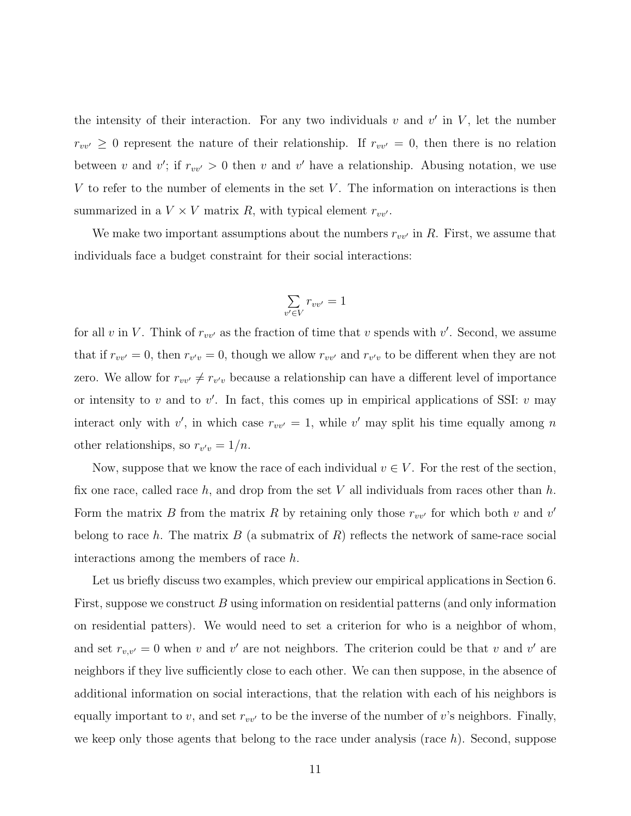the intensity of their interaction. For any two individuals  $v$  and  $v'$  in  $V$ , let the number  $r_{vv'} \geq 0$  represent the nature of their relationship. If  $r_{vv'} = 0$ , then there is no relation between v and v'; if  $r_{vv'} > 0$  then v and v' have a relationship. Abusing notation, we use V to refer to the number of elements in the set  $V$ . The information on interactions is then summarized in a  $V \times V$  matrix R, with typical element  $r_{vv'}$ .

We make two important assumptions about the numbers  $r_{vv'}$  in R. First, we assume that individuals face a budget constraint for their social interactions:

$$
\sum_{v' \in V} r_{vv'} = 1
$$

for all v in V. Think of  $r_{vv'}$  as the fraction of time that v spends with v'. Second, we assume that if  $r_{vv'} = 0$ , then  $r_{v'v} = 0$ , though we allow  $r_{vv'}$  and  $r_{v'v}$  to be different when they are not zero. We allow for  $r_{vv'} \neq r_{v'v}$  because a relationship can have a different level of importance or intensity to v and to v'. In fact, this comes up in empirical applications of SSI: v may interact only with v', in which case  $r_{vv'} = 1$ , while v' may split his time equally among n other relationships, so  $r_{v'v} = 1/n$ .

Now, suppose that we know the race of each individual  $v \in V$ . For the rest of the section, fix one race, called race h, and drop from the set V all individuals from races other than h. Form the matrix B from the matrix R by retaining only those  $r_{vv'}$  for which both v and v' belong to race h. The matrix B (a submatrix of R) reflects the network of same-race social interactions among the members of race h.

Let us briefly discuss two examples, which preview our empirical applications in Section 6. First, suppose we construct B using information on residential patterns (and only information on residential patters). We would need to set a criterion for who is a neighbor of whom, and set  $r_{v,v'} = 0$  when v and v' are not neighbors. The criterion could be that v and v' are neighbors if they live sufficiently close to each other. We can then suppose, in the absence of additional information on social interactions, that the relation with each of his neighbors is equally important to v, and set  $r_{vv'}$  to be the inverse of the number of v's neighbors. Finally, we keep only those agents that belong to the race under analysis (race  $h$ ). Second, suppose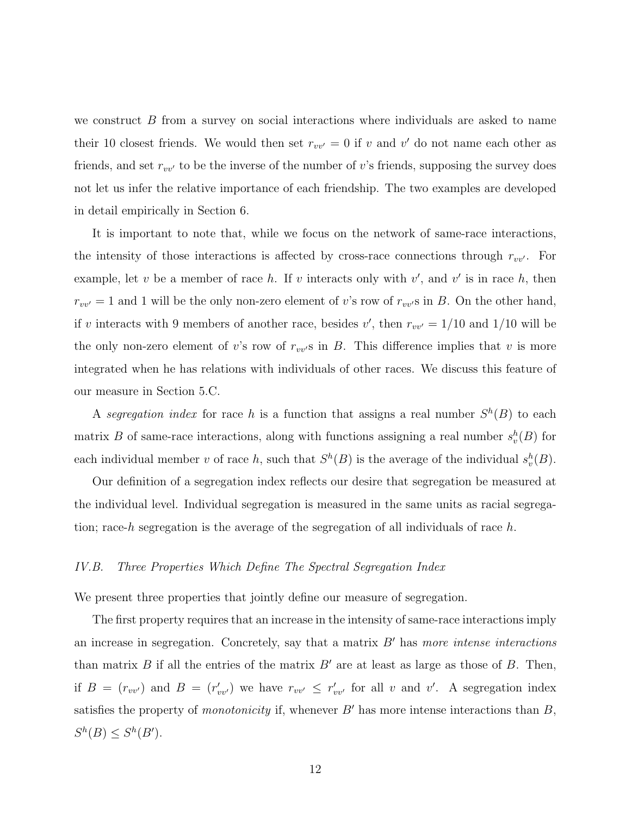we construct  $B$  from a survey on social interactions where individuals are asked to name their 10 closest friends. We would then set  $r_{vv'} = 0$  if v and v' do not name each other as friends, and set  $r_{vv'}$  to be the inverse of the number of v's friends, supposing the survey does not let us infer the relative importance of each friendship. The two examples are developed in detail empirically in Section 6.

It is important to note that, while we focus on the network of same-race interactions, the intensity of those interactions is affected by cross-race connections through  $r_{vv}$ . For example, let v be a member of race h. If v interacts only with  $v'$ , and  $v'$  is in race h, then  $r_{vv'} = 1$  and 1 will be the only non-zero element of v's row of  $r_{vv'}$ s in B. On the other hand, if v interacts with 9 members of another race, besides v', then  $r_{vv'} = 1/10$  and  $1/10$  will be the only non-zero element of v's row of  $r_{vv}$ s in B. This difference implies that v is more integrated when he has relations with individuals of other races. We discuss this feature of our measure in Section 5.C.

A segregation index for race h is a function that assigns a real number  $S^h(B)$  to each matrix B of same-race interactions, along with functions assigning a real number  $s_v^h(B)$  for each individual member v of race h, such that  $S^h(B)$  is the average of the individual  $s_v^h(B)$ .

Our definition of a segregation index reflects our desire that segregation be measured at the individual level. Individual segregation is measured in the same units as racial segregation; race-h segregation is the average of the segregation of all individuals of race h.

#### IV.B. Three Properties Which Define The Spectral Segregation Index

We present three properties that jointly define our measure of segregation.

The first property requires that an increase in the intensity of same-race interactions imply an increase in segregation. Concretely, say that a matrix  $B'$  has more intense interactions than matrix B if all the entries of the matrix  $B'$  are at least as large as those of B. Then, if  $B = (r_{vv})$  and  $B = (r'_{vv})$  we have  $r_{vv'} \leq r'_{vv'}$  for all v and v'. A segregation index satisfies the property of *monotonicity* if, whenever  $B'$  has more intense interactions than  $B$ ,  $S^h(B) \leq S^h(B')$ .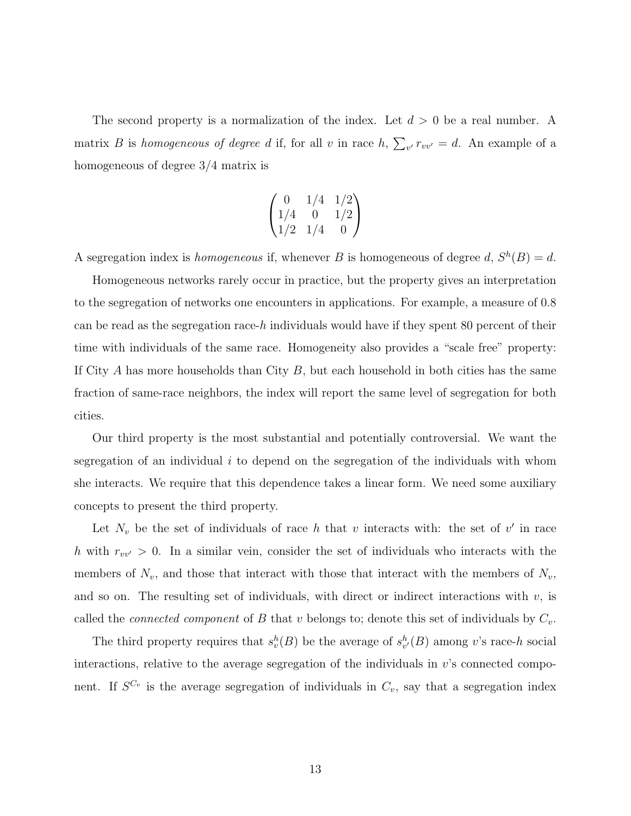The second property is a normalization of the index. Let  $d > 0$  be a real number. A matrix B is homogeneous of degree d if, for all v in race  $h$ ,  $\sum_{v} r_{vv'} = d$ . An example of a homogeneous of degree 3/4 matrix is

$$
\begin{pmatrix}\n0 & 1/4 & 1/2 \\
1/4 & 0 & 1/2 \\
1/2 & 1/4 & 0\n\end{pmatrix}
$$

A segregation index is *homogeneous* if, whenever B is homogeneous of degree d,  $S<sup>h</sup>(B) = d$ .

Homogeneous networks rarely occur in practice, but the property gives an interpretation to the segregation of networks one encounters in applications. For example, a measure of 0.8 can be read as the segregation race-h individuals would have if they spent  $80$  percent of their time with individuals of the same race. Homogeneity also provides a "scale free" property: If City  $A$  has more households than City  $B$ , but each household in both cities has the same fraction of same-race neighbors, the index will report the same level of segregation for both cities.

Our third property is the most substantial and potentially controversial. We want the segregation of an individual  $i$  to depend on the segregation of the individuals with whom she interacts. We require that this dependence takes a linear form. We need some auxiliary concepts to present the third property.

Let  $N_v$  be the set of individuals of race h that v interacts with: the set of v' in race h with  $r_{vv'} > 0$ . In a similar vein, consider the set of individuals who interacts with the members of  $N_v$ , and those that interact with those that interact with the members of  $N_v$ , and so on. The resulting set of individuals, with direct or indirect interactions with  $v$ , is called the *connected component* of B that v belongs to; denote this set of individuals by  $C_v$ .

The third property requires that  $s_v^h(B)$  be the average of  $s_{v'}^h(B)$  among v's race-h social interactions, relative to the average segregation of the individuals in  $v$ 's connected component. If  $S^{C_v}$  is the average segregation of individuals in  $C_v$ , say that a segregation index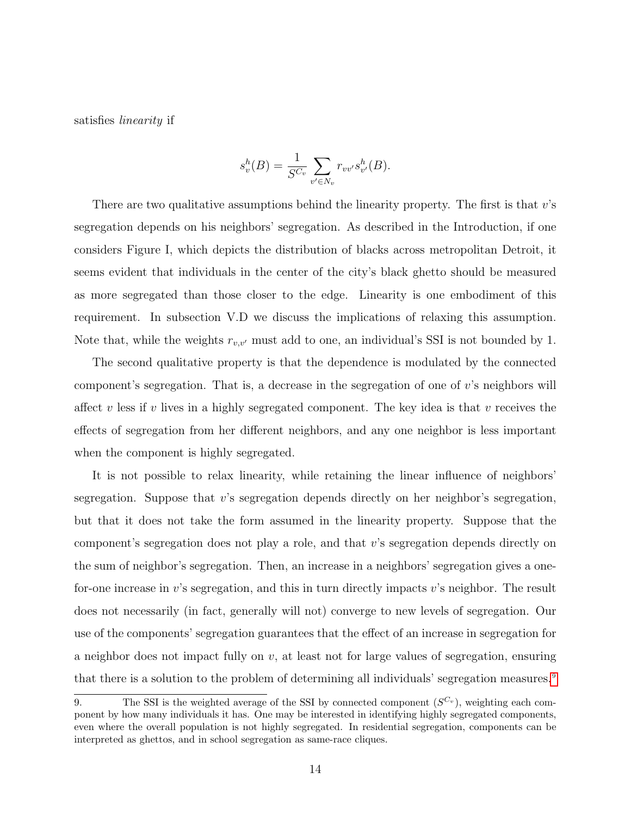satisfies linearity if

$$
s_v^h(B) = \frac{1}{S^{C_v}} \sum_{v' \in N_v} r_{vv'} s_{v'}^h(B).
$$

There are two qualitative assumptions behind the linearity property. The first is that  $v$ 's segregation depends on his neighbors' segregation. As described in the Introduction, if one considers Figure I, which depicts the distribution of blacks across metropolitan Detroit, it seems evident that individuals in the center of the city's black ghetto should be measured as more segregated than those closer to the edge. Linearity is one embodiment of this requirement. In subsection V.D we discuss the implications of relaxing this assumption. Note that, while the weights  $r_{v,v'}$  must add to one, an individual's SSI is not bounded by 1.

The second qualitative property is that the dependence is modulated by the connected component's segregation. That is, a decrease in the segregation of one of  $v$ 's neighbors will affect v less if v lives in a highly segregated component. The key idea is that v receives the effects of segregation from her different neighbors, and any one neighbor is less important when the component is highly segregated.

It is not possible to relax linearity, while retaining the linear influence of neighbors' segregation. Suppose that v's segregation depends directly on her neighbor's segregation, but that it does not take the form assumed in the linearity property. Suppose that the component's segregation does not play a role, and that v's segregation depends directly on the sum of neighbor's segregation. Then, an increase in a neighbors' segregation gives a onefor-one increase in  $v$ 's segregation, and this in turn directly impacts  $v$ 's neighbor. The result does not necessarily (in fact, generally will not) converge to new levels of segregation. Our use of the components' segregation guarantees that the effect of an increase in segregation for a neighbor does not impact fully on  $v$ , at least not for large values of segregation, ensuring that there is a solution to the problem of determining all individuals' segregation measures.<sup>[9](#page--1-0)</sup>

<sup>9.</sup> The SSI is the weighted average of the SSI by connected component  $(S^{C_v})$ , weighting each component by how many individuals it has. One may be interested in identifying highly segregated components, even where the overall population is not highly segregated. In residential segregation, components can be interpreted as ghettos, and in school segregation as same-race cliques.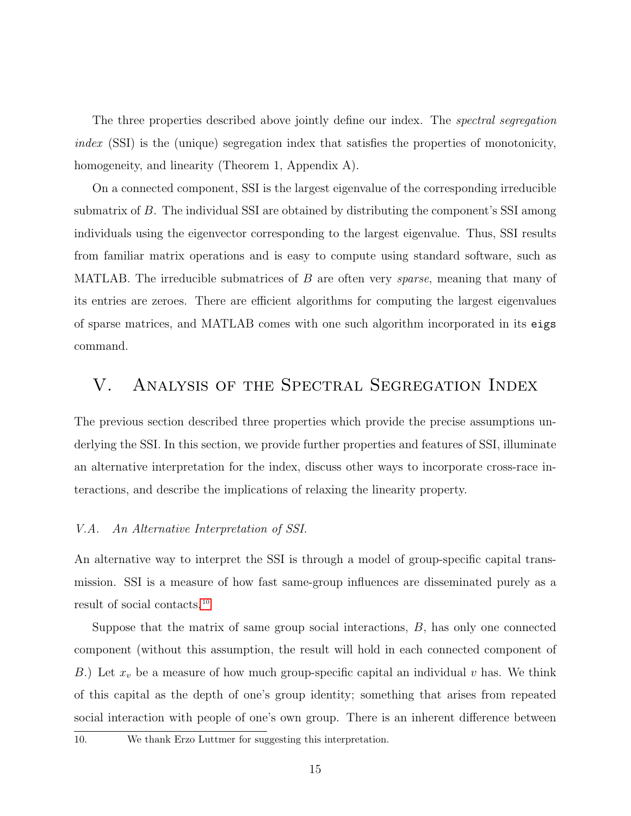The three properties described above jointly define our index. The *spectral segregation* index (SSI) is the (unique) segregation index that satisfies the properties of monotonicity, homogeneity, and linearity (Theorem 1, Appendix A).

On a connected component, SSI is the largest eigenvalue of the corresponding irreducible submatrix of B. The individual SSI are obtained by distributing the component's SSI among individuals using the eigenvector corresponding to the largest eigenvalue. Thus, SSI results from familiar matrix operations and is easy to compute using standard software, such as MATLAB. The irreducible submatrices of  $B$  are often very *sparse*, meaning that many of its entries are zeroes. There are efficient algorithms for computing the largest eigenvalues of sparse matrices, and MATLAB comes with one such algorithm incorporated in its eigs command.

## <span id="page-14-0"></span>V. Analysis of the Spectral Segregation Index

The previous section described three properties which provide the precise assumptions underlying the SSI. In this section, we provide further properties and features of SSI, illuminate an alternative interpretation for the index, discuss other ways to incorporate cross-race interactions, and describe the implications of relaxing the linearity property.

### V.A. An Alternative Interpretation of SSI.

An alternative way to interpret the SSI is through a model of group-specific capital transmission. SSI is a measure of how fast same-group influences are disseminated purely as a result of social contacts.[10](#page--1-0)

Suppose that the matrix of same group social interactions, B, has only one connected component (without this assumption, the result will hold in each connected component of B.) Let  $x_v$  be a measure of how much group-specific capital an individual v has. We think of this capital as the depth of one's group identity; something that arises from repeated social interaction with people of one's own group. There is an inherent difference between

### 10. We thank Erzo Luttmer for suggesting this interpretation.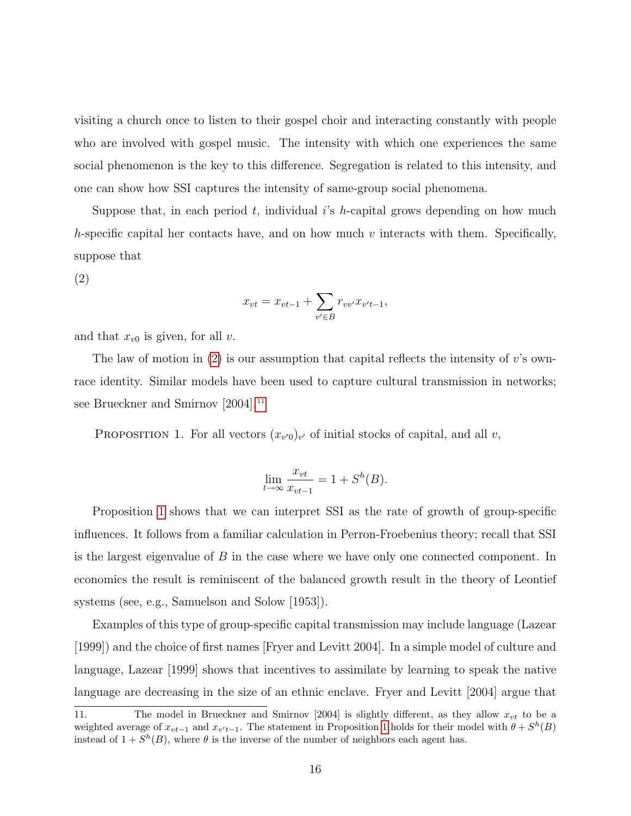visiting a church once to listen to their gospel choir and interacting constantly with people who are involved with gospel music. The intensity with which one experiences the same social phenomenon is the key to this difference. Segregation is related to this intensity, and one can show how SSI captures the intensity of same-group social phenomena.

<span id="page-15-0"></span>Suppose that, in each period t, individual i's h-capital grows depending on how much h-specific capital her contacts have, and on how much v interacts with them. Specifically, suppose that

(2)

$$
x_{vt} = x_{vt-1} + \sum_{v' \in B} r_{vv'} x_{v't-1},
$$

and that  $x_{v0}$  is given, for all v.

The law of motion in  $(2)$  is our assumption that capital reflects the intensity of v's ownrace identity. Similar models have been used to capture cultural transmission in networks; see Brueckner and Smirnov [2004].<sup>[11](#page--1-0)</sup>

<span id="page-15-1"></span>PROPOSITION 1. For all vectors  $(x_{v'0})_{v'}$  of initial stocks of capital, and all v,

$$
\lim_{t \to \infty} \frac{x_{vt}}{x_{vt-1}} = 1 + S^h(B).
$$

Proposition [1](#page-15-1) shows that we can interpret SSI as the rate of growth of group-specific influences. It follows from a familiar calculation in Perron-Froebenius theory; recall that SSI is the largest eigenvalue of  $B$  in the case where we have only one connected component. In economics the result is reminiscent of the balanced growth result in the theory of Leontief systems (see, e.g., Samuelson and Solow [1953]).

Examples of this type of group-specific capital transmission may include language (Lazear [1999]) and the choice of first names [Fryer and Levitt 2004]. In a simple model of culture and language, Lazear [1999] shows that incentives to assimilate by learning to speak the native language are decreasing in the size of an ethnic enclave. Fryer and Levitt [2004] argue that

<sup>11.</sup> The model in Brueckner and Smirnov [2004] is slightly different, as they allow  $x_{vt}$  to be a weighted average of  $x_{vt-1}$  and  $x_{v't-1}$ . The statement in Proposition [1](#page-15-1) holds for their model with  $\theta + S^h(B)$ instead of  $1 + S<sup>h</sup>(B)$ , where  $\theta$  is the inverse of the number of neighbors each agent has.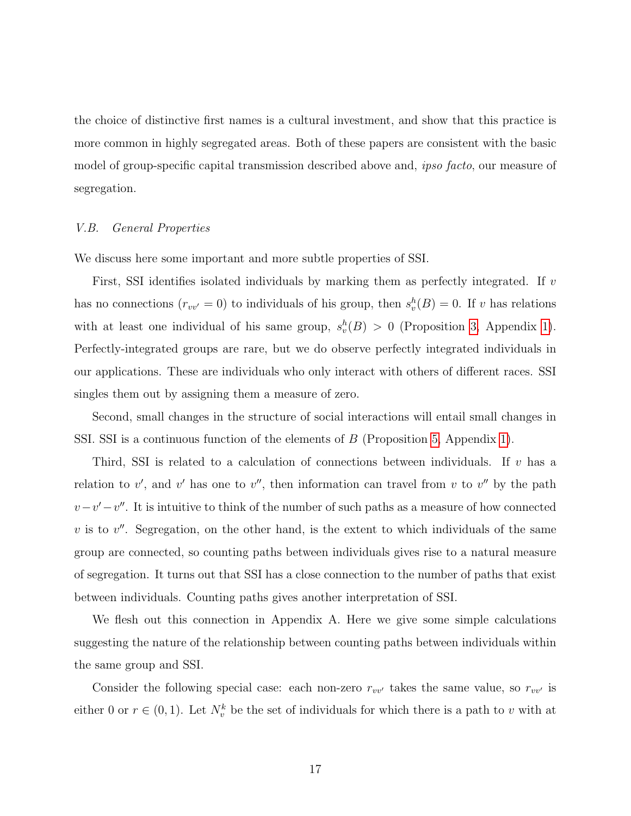the choice of distinctive first names is a cultural investment, and show that this practice is more common in highly segregated areas. Both of these papers are consistent with the basic model of group-specific capital transmission described above and, *ipso facto*, our measure of segregation.

#### V.B. General Properties

We discuss here some important and more subtle properties of SSI.

First, SSI identifies isolated individuals by marking them as perfectly integrated. If  $v$ has no connections  $(r_{vv'} = 0)$  to individuals of his group, then  $s_v^h(B) = 0$ . If v has relations with at least one individual of his same group,  $s_v^h(B) > 0$  (Proposition [3,](#page-30-0) Appendix [1\)](#page-30-1). Perfectly-integrated groups are rare, but we do observe perfectly integrated individuals in our applications. These are individuals who only interact with others of different races. SSI singles them out by assigning them a measure of zero.

Second, small changes in the structure of social interactions will entail small changes in SSI. SSI is a continuous function of the elements of B (Proposition [5,](#page-31-0) Appendix [1\)](#page-30-1).

Third, SSI is related to a calculation of connections between individuals. If  $v$  has a relation to v', and v' has one to v'', then information can travel from v to v'' by the path  $v-v'-v''$ . It is intuitive to think of the number of such paths as a measure of how connected  $v$  is to  $v''$ . Segregation, on the other hand, is the extent to which individuals of the same group are connected, so counting paths between individuals gives rise to a natural measure of segregation. It turns out that SSI has a close connection to the number of paths that exist between individuals. Counting paths gives another interpretation of SSI.

We flesh out this connection in Appendix A. Here we give some simple calculations suggesting the nature of the relationship between counting paths between individuals within the same group and SSI.

Consider the following special case: each non-zero  $r_{vv'}$  takes the same value, so  $r_{vv'}$  is either 0 or  $r \in (0,1)$ . Let  $N_v^k$  be the set of individuals for which there is a path to v with at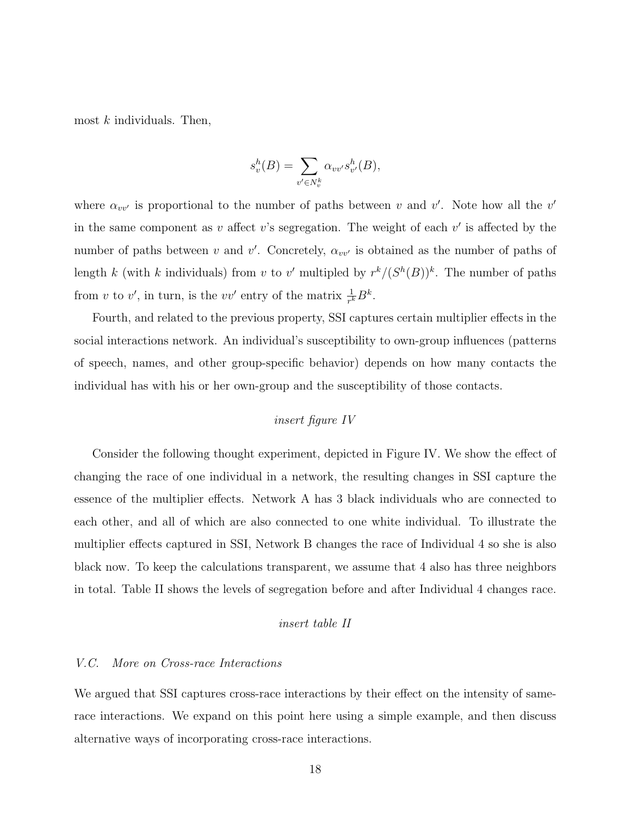most  $k$  individuals. Then,

$$
s_v^h(B) = \sum_{v' \in N_v^k} \alpha_{vv'} s_{v'}^h(B),
$$

where  $\alpha_{vv'}$  is proportional to the number of paths between v and v'. Note how all the v' in the same component as v affect v's segregation. The weight of each  $v'$  is affected by the number of paths between v and v'. Concretely,  $\alpha_{vv'}$  is obtained as the number of paths of length k (with k individuals) from v to v' multipled by  $r^k/(S^h(B))^k$ . The number of paths from v to v', in turn, is the vv' entry of the matrix  $\frac{1}{r^k}B^k$ .

Fourth, and related to the previous property, SSI captures certain multiplier effects in the social interactions network. An individual's susceptibility to own-group influences (patterns of speech, names, and other group-specific behavior) depends on how many contacts the individual has with his or her own-group and the susceptibility of those contacts.

### insert figure IV

Consider the following thought experiment, depicted in Figure IV. We show the effect of changing the race of one individual in a network, the resulting changes in SSI capture the essence of the multiplier effects. Network A has 3 black individuals who are connected to each other, and all of which are also connected to one white individual. To illustrate the multiplier effects captured in SSI, Network B changes the race of Individual 4 so she is also black now. To keep the calculations transparent, we assume that 4 also has three neighbors in total. Table II shows the levels of segregation before and after Individual 4 changes race.

#### insert table II

#### V.C. More on Cross-race Interactions

We argued that SSI captures cross-race interactions by their effect on the intensity of samerace interactions. We expand on this point here using a simple example, and then discuss alternative ways of incorporating cross-race interactions.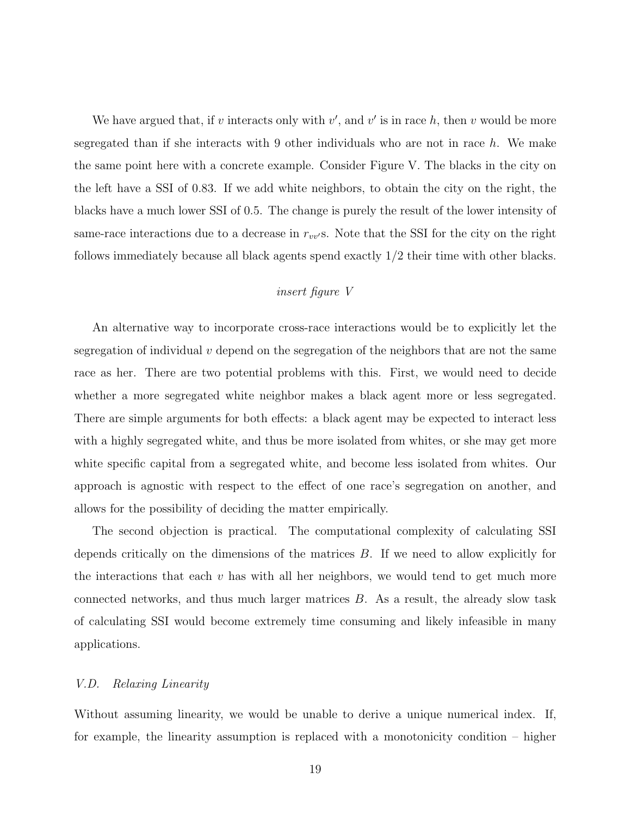We have argued that, if v interacts only with  $v'$ , and  $v'$  is in race h, then v would be more segregated than if she interacts with 9 other individuals who are not in race  $h$ . We make the same point here with a concrete example. Consider Figure V. The blacks in the city on the left have a SSI of 0.83. If we add white neighbors, to obtain the city on the right, the blacks have a much lower SSI of 0.5. The change is purely the result of the lower intensity of same-race interactions due to a decrease in  $r_{vv}$ s. Note that the SSI for the city on the right follows immediately because all black agents spend exactly 1/2 their time with other blacks.

## insert figure V

An alternative way to incorporate cross-race interactions would be to explicitly let the segregation of individual  $v$  depend on the segregation of the neighbors that are not the same race as her. There are two potential problems with this. First, we would need to decide whether a more segregated white neighbor makes a black agent more or less segregated. There are simple arguments for both effects: a black agent may be expected to interact less with a highly segregated white, and thus be more isolated from whites, or she may get more white specific capital from a segregated white, and become less isolated from whites. Our approach is agnostic with respect to the effect of one race's segregation on another, and allows for the possibility of deciding the matter empirically.

The second objection is practical. The computational complexity of calculating SSI depends critically on the dimensions of the matrices B. If we need to allow explicitly for the interactions that each  $v$  has with all her neighbors, we would tend to get much more connected networks, and thus much larger matrices B. As a result, the already slow task of calculating SSI would become extremely time consuming and likely infeasible in many applications.

#### V.D. Relaxing Linearity

Without assuming linearity, we would be unable to derive a unique numerical index. If, for example, the linearity assumption is replaced with a monotonicity condition – higher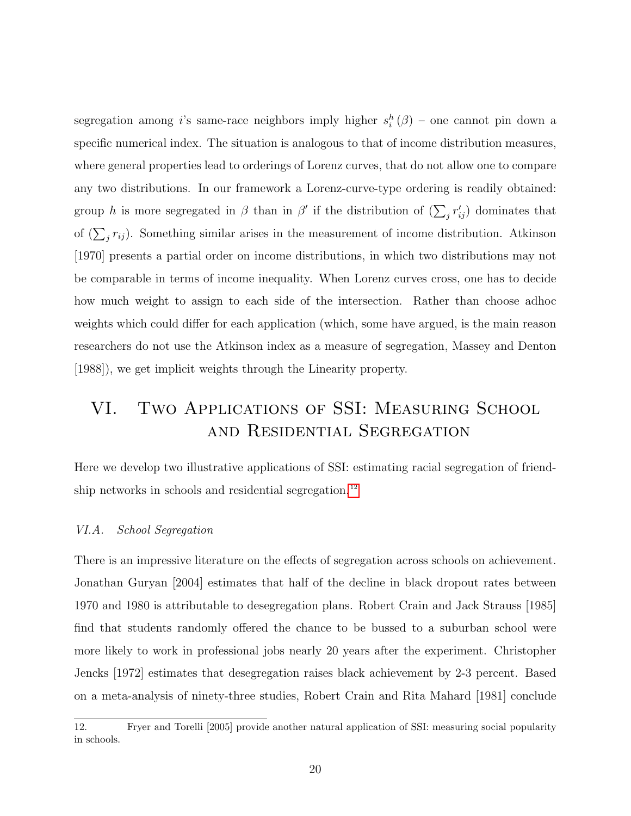segregation among *i*'s same-race neighbors imply higher  $s_i^h(\beta)$  – one cannot pin down a specific numerical index. The situation is analogous to that of income distribution measures, where general properties lead to orderings of Lorenz curves, that do not allow one to compare any two distributions. In our framework a Lorenz-curve-type ordering is readily obtained: group h is more segregated in  $\beta$  than in  $\beta'$  if the distribution of  $(\sum_j r'_{ij})$  dominates that of  $(\sum_j r_{ij})$ . Something similar arises in the measurement of income distribution. Atkinson [1970] presents a partial order on income distributions, in which two distributions may not be comparable in terms of income inequality. When Lorenz curves cross, one has to decide how much weight to assign to each side of the intersection. Rather than choose adhoc weights which could differ for each application (which, some have argued, is the main reason researchers do not use the Atkinson index as a measure of segregation, Massey and Denton [1988]), we get implicit weights through the Linearity property.

# <span id="page-19-0"></span>VI. Two Applications of SSI: Measuring School and Residential Segregation

Here we develop two illustrative applications of SSI: estimating racial segregation of friend-ship networks in schools and residential segregation.<sup>[12](#page--1-0)</sup>

#### VI.A. School Segregation

There is an impressive literature on the effects of segregation across schools on achievement. Jonathan Guryan [2004] estimates that half of the decline in black dropout rates between 1970 and 1980 is attributable to desegregation plans. Robert Crain and Jack Strauss [1985] find that students randomly offered the chance to be bussed to a suburban school were more likely to work in professional jobs nearly 20 years after the experiment. Christopher Jencks [1972] estimates that desegregation raises black achievement by 2-3 percent. Based on a meta-analysis of ninety-three studies, Robert Crain and Rita Mahard [1981] conclude

<sup>12.</sup> Fryer and Torelli [2005] provide another natural application of SSI: measuring social popularity in schools.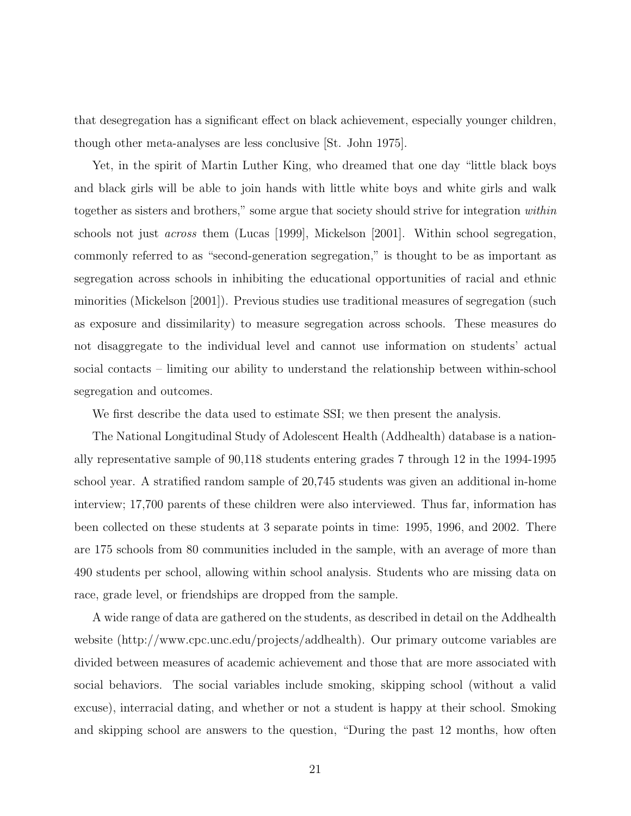that desegregation has a significant effect on black achievement, especially younger children, though other meta-analyses are less conclusive [St. John 1975].

Yet, in the spirit of Martin Luther King, who dreamed that one day "little black boys and black girls will be able to join hands with little white boys and white girls and walk together as sisters and brothers," some argue that society should strive for integration within schools not just across them (Lucas [1999], Mickelson [2001]. Within school segregation, commonly referred to as "second-generation segregation," is thought to be as important as segregation across schools in inhibiting the educational opportunities of racial and ethnic minorities (Mickelson [2001]). Previous studies use traditional measures of segregation (such as exposure and dissimilarity) to measure segregation across schools. These measures do not disaggregate to the individual level and cannot use information on students' actual social contacts – limiting our ability to understand the relationship between within-school segregation and outcomes.

We first describe the data used to estimate SSI; we then present the analysis.

The National Longitudinal Study of Adolescent Health (Addhealth) database is a nationally representative sample of 90,118 students entering grades 7 through 12 in the 1994-1995 school year. A stratified random sample of 20,745 students was given an additional in-home interview; 17,700 parents of these children were also interviewed. Thus far, information has been collected on these students at 3 separate points in time: 1995, 1996, and 2002. There are 175 schools from 80 communities included in the sample, with an average of more than 490 students per school, allowing within school analysis. Students who are missing data on race, grade level, or friendships are dropped from the sample.

A wide range of data are gathered on the students, as described in detail on the Addhealth website (http://www.cpc.unc.edu/projects/addhealth). Our primary outcome variables are divided between measures of academic achievement and those that are more associated with social behaviors. The social variables include smoking, skipping school (without a valid excuse), interracial dating, and whether or not a student is happy at their school. Smoking and skipping school are answers to the question, "During the past 12 months, how often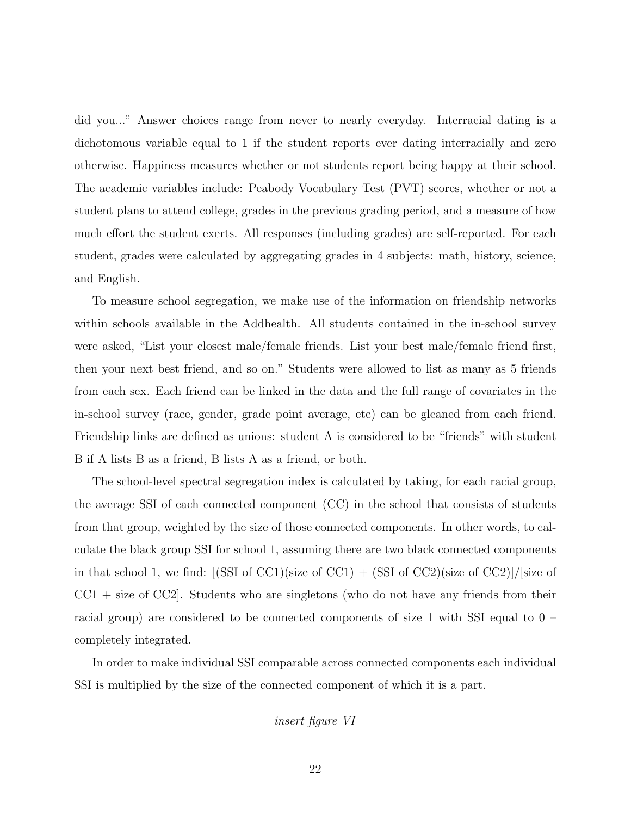did you..." Answer choices range from never to nearly everyday. Interracial dating is a dichotomous variable equal to 1 if the student reports ever dating interracially and zero otherwise. Happiness measures whether or not students report being happy at their school. The academic variables include: Peabody Vocabulary Test (PVT) scores, whether or not a student plans to attend college, grades in the previous grading period, and a measure of how much effort the student exerts. All responses (including grades) are self-reported. For each student, grades were calculated by aggregating grades in 4 subjects: math, history, science, and English.

To measure school segregation, we make use of the information on friendship networks within schools available in the Addhealth. All students contained in the in-school survey were asked, "List your closest male/female friends. List your best male/female friend first, then your next best friend, and so on." Students were allowed to list as many as 5 friends from each sex. Each friend can be linked in the data and the full range of covariates in the in-school survey (race, gender, grade point average, etc) can be gleaned from each friend. Friendship links are defined as unions: student A is considered to be "friends" with student B if A lists B as a friend, B lists A as a friend, or both.

The school-level spectral segregation index is calculated by taking, for each racial group, the average SSI of each connected component (CC) in the school that consists of students from that group, weighted by the size of those connected components. In other words, to calculate the black group SSI for school 1, assuming there are two black connected components in that school 1, we find:  $[(SSI of CC1)(size of CC1) + (SSI of CC2)(size of CC2)]/[size of$  $CC1 + size of CC2$ . Students who are singletons (who do not have any friends from their racial group) are considered to be connected components of size 1 with SSI equal to 0 – completely integrated.

In order to make individual SSI comparable across connected components each individual SSI is multiplied by the size of the connected component of which it is a part.

insert figure VI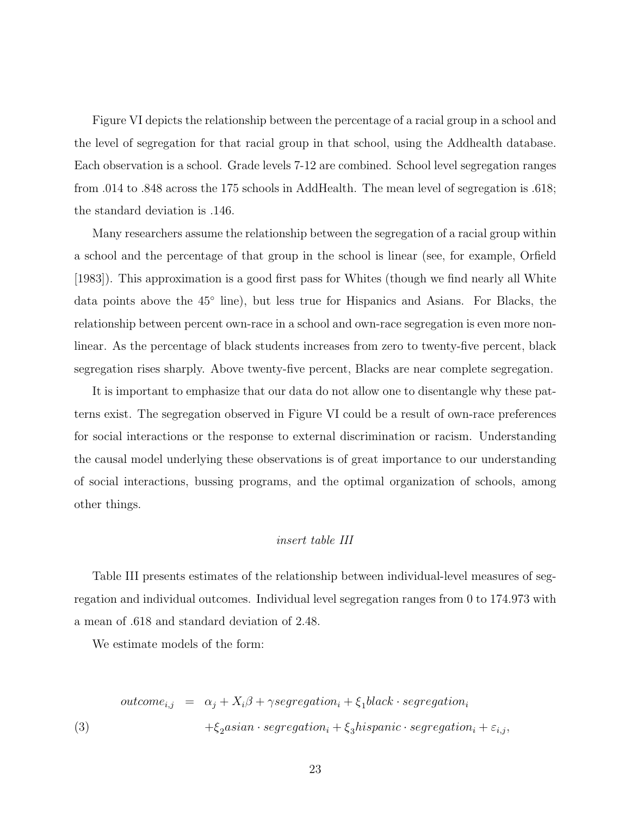Figure VI depicts the relationship between the percentage of a racial group in a school and the level of segregation for that racial group in that school, using the Addhealth database. Each observation is a school. Grade levels 7-12 are combined. School level segregation ranges from .014 to .848 across the 175 schools in AddHealth. The mean level of segregation is .618; the standard deviation is .146.

Many researchers assume the relationship between the segregation of a racial group within a school and the percentage of that group in the school is linear (see, for example, Orfield [1983]). This approximation is a good first pass for Whites (though we find nearly all White data points above the 45◦ line), but less true for Hispanics and Asians. For Blacks, the relationship between percent own-race in a school and own-race segregation is even more nonlinear. As the percentage of black students increases from zero to twenty-five percent, black segregation rises sharply. Above twenty-five percent, Blacks are near complete segregation.

It is important to emphasize that our data do not allow one to disentangle why these patterns exist. The segregation observed in Figure VI could be a result of own-race preferences for social interactions or the response to external discrimination or racism. Understanding the causal model underlying these observations is of great importance to our understanding of social interactions, bussing programs, and the optimal organization of schools, among other things.

### insert table III

Table III presents estimates of the relationship between individual-level measures of segregation and individual outcomes. Individual level segregation ranges from 0 to 174.973 with a mean of .618 and standard deviation of 2.48.

We estimate models of the form:

$$
outcome_{i,j} = \alpha_j + X_i\beta + \gamma segregation_i + \xi_1 black \cdot segregation_i
$$
  
(3)  

$$
+ \xi_2 Asian \cdot segregation_i + \xi_3 hispanic \cdot segregation_i + \varepsilon_{i,j},
$$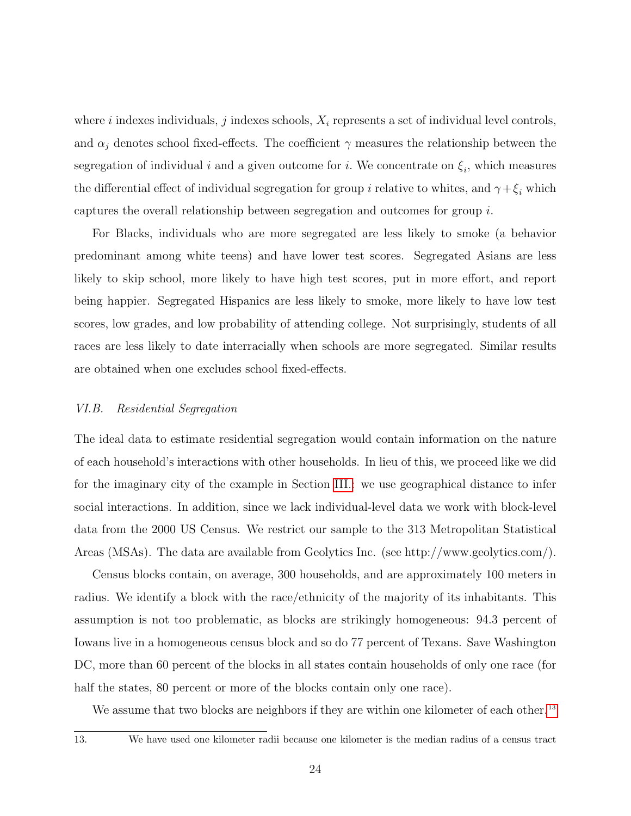where i indexes individuals, j indexes schools,  $X_i$  represents a set of individual level controls, and  $\alpha_j$  denotes school fixed-effects. The coefficient  $\gamma$  measures the relationship between the segregation of individual i and a given outcome for i. We concentrate on  $\xi_i$ , which measures the differential effect of individual segregation for group  $i$  relative to whites, and  $\gamma + \xi_i$  which captures the overall relationship between segregation and outcomes for group i.

For Blacks, individuals who are more segregated are less likely to smoke (a behavior predominant among white teens) and have lower test scores. Segregated Asians are less likely to skip school, more likely to have high test scores, put in more effort, and report being happier. Segregated Hispanics are less likely to smoke, more likely to have low test scores, low grades, and low probability of attending college. Not surprisingly, students of all races are less likely to date interracially when schools are more segregated. Similar results are obtained when one excludes school fixed-effects.

#### VI.B. Residential Segregation

The ideal data to estimate residential segregation would contain information on the nature of each household's interactions with other households. In lieu of this, we proceed like we did for the imaginary city of the example in Section [III.:](#page-7-0) we use geographical distance to infer social interactions. In addition, since we lack individual-level data we work with block-level data from the 2000 US Census. We restrict our sample to the 313 Metropolitan Statistical Areas (MSAs). The data are available from Geolytics Inc. (see http://www.geolytics.com/).

Census blocks contain, on average, 300 households, and are approximately 100 meters in radius. We identify a block with the race/ethnicity of the majority of its inhabitants. This assumption is not too problematic, as blocks are strikingly homogeneous: 94.3 percent of Iowans live in a homogeneous census block and so do 77 percent of Texans. Save Washington DC, more than 60 percent of the blocks in all states contain households of only one race (for half the states, 80 percent or more of the blocks contain only one race).

We assume that two blocks are neighbors if they are within one kilometer of each other.<sup>[13](#page--1-0)</sup>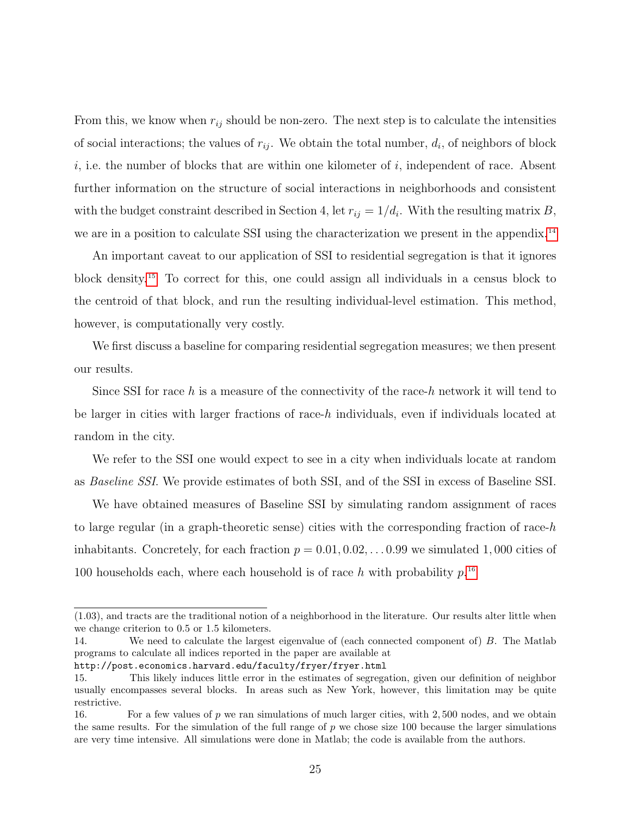From this, we know when  $r_{ij}$  should be non-zero. The next step is to calculate the intensities of social interactions; the values of  $r_{ij}$ . We obtain the total number,  $d_i$ , of neighbors of block  $i,$  i.e. the number of blocks that are within one kilometer of  $i,$  independent of race. Absent further information on the structure of social interactions in neighborhoods and consistent with the budget constraint described in Section 4, let  $r_{ij} = 1/d_i$ . With the resulting matrix B, we are in a position to calculate SSI using the characterization we present in the appendix.<sup>[14](#page--1-0)</sup>

An important caveat to our application of SSI to residential segregation is that it ignores block density.[15](#page--1-0) To correct for this, one could assign all individuals in a census block to the centroid of that block, and run the resulting individual-level estimation. This method, however, is computationally very costly.

We first discuss a baseline for comparing residential segregation measures; we then present our results.

Since SSI for race h is a measure of the connectivity of the race-h network it will tend to be larger in cities with larger fractions of race-h individuals, even if individuals located at random in the city.

We refer to the SSI one would expect to see in a city when individuals locate at random as Baseline SSI. We provide estimates of both SSI, and of the SSI in excess of Baseline SSI.

We have obtained measures of Baseline SSI by simulating random assignment of races to large regular (in a graph-theoretic sense) cities with the corresponding fraction of race-h inhabitants. Concretely, for each fraction  $p = 0.01, 0.02, \ldots, 0.99$  we simulated 1,000 cities of 100 households each, where each household is of race h with probability  $p^{16}$  $p^{16}$  $p^{16}$ .

http://post.economics.harvard.edu/faculty/fryer/fryer.html

<sup>(1.03),</sup> and tracts are the traditional notion of a neighborhood in the literature. Our results alter little when we change criterion to 0.5 or 1.5 kilometers.

<sup>14.</sup> We need to calculate the largest eigenvalue of (each connected component of) B. The Matlab programs to calculate all indices reported in the paper are available at

<sup>15.</sup> This likely induces little error in the estimates of segregation, given our definition of neighbor usually encompasses several blocks. In areas such as New York, however, this limitation may be quite restrictive.

<sup>16.</sup> For a few values of p we ran simulations of much larger cities, with  $2,500$  nodes, and we obtain the same results. For the simulation of the full range of  $p$  we chose size 100 because the larger simulations are very time intensive. All simulations were done in Matlab; the code is available from the authors.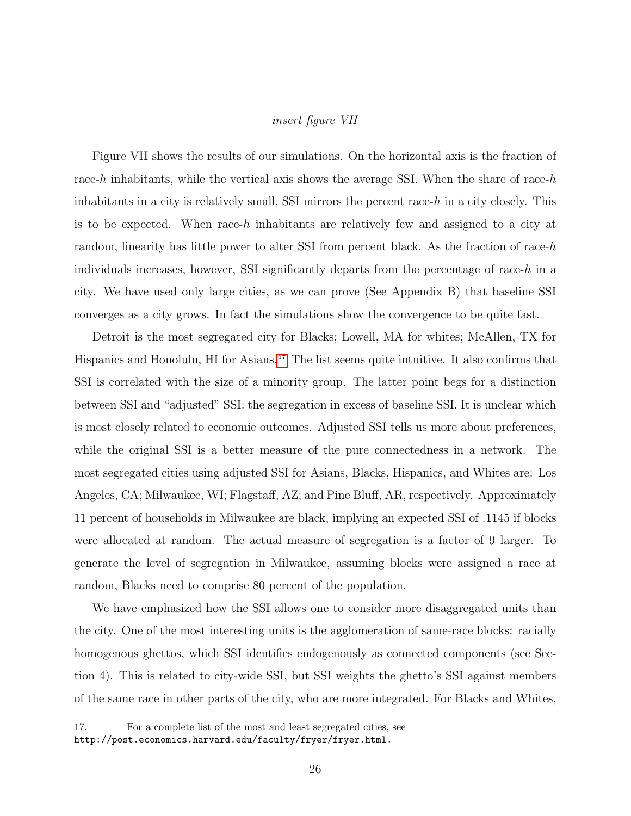### insert figure VII

Figure VII shows the results of our simulations. On the horizontal axis is the fraction of race-h inhabitants, while the vertical axis shows the average SSI. When the share of race-h inhabitants in a city is relatively small, SSI mirrors the percent race-h in a city closely. This is to be expected. When race-h inhabitants are relatively few and assigned to a city at random, linearity has little power to alter SSI from percent black. As the fraction of race- $h$ individuals increases, however, SSI significantly departs from the percentage of race- $h$  in a city. We have used only large cities, as we can prove (See Appendix B) that baseline SSI converges as a city grows. In fact the simulations show the convergence to be quite fast.

Detroit is the most segregated city for Blacks; Lowell, MA for whites; McAllen, TX for Hispanics and Honolulu, HI for Asians.<sup>[17](#page--1-0)</sup> The list seems quite intuitive. It also confirms that SSI is correlated with the size of a minority group. The latter point begs for a distinction between SSI and "adjusted" SSI: the segregation in excess of baseline SSI. It is unclear which is most closely related to economic outcomes. Adjusted SSI tells us more about preferences, while the original SSI is a better measure of the pure connectedness in a network. The most segregated cities using adjusted SSI for Asians, Blacks, Hispanics, and Whites are: Los Angeles, CA; Milwaukee, WI; Flagstaff, AZ; and Pine Bluff, AR, respectively. Approximately 11 percent of households in Milwaukee are black, implying an expected SSI of .1145 if blocks were allocated at random. The actual measure of segregation is a factor of 9 larger. To generate the level of segregation in Milwaukee, assuming blocks were assigned a race at random, Blacks need to comprise 80 percent of the population.

We have emphasized how the SSI allows one to consider more disaggregated units than the city. One of the most interesting units is the agglomeration of same-race blocks: racially homogenous ghettos, which SSI identifies endogenously as connected components (see Section 4). This is related to city-wide SSI, but SSI weights the ghetto's SSI against members of the same race in other parts of the city, who are more integrated. For Blacks and Whites,

<sup>17.</sup> For a complete list of the most and least segregated cities, see http://post.economics.harvard.edu/faculty/fryer/fryer.html.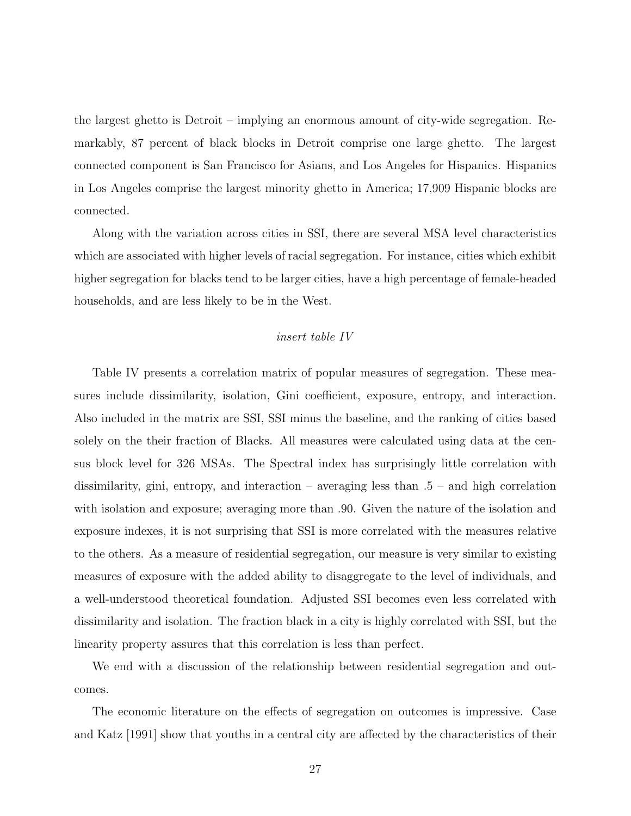the largest ghetto is Detroit – implying an enormous amount of city-wide segregation. Remarkably, 87 percent of black blocks in Detroit comprise one large ghetto. The largest connected component is San Francisco for Asians, and Los Angeles for Hispanics. Hispanics in Los Angeles comprise the largest minority ghetto in America; 17,909 Hispanic blocks are connected.

Along with the variation across cities in SSI, there are several MSA level characteristics which are associated with higher levels of racial segregation. For instance, cities which exhibit higher segregation for blacks tend to be larger cities, have a high percentage of female-headed households, and are less likely to be in the West.

## insert table IV

Table IV presents a correlation matrix of popular measures of segregation. These measures include dissimilarity, isolation, Gini coefficient, exposure, entropy, and interaction. Also included in the matrix are SSI, SSI minus the baseline, and the ranking of cities based solely on the their fraction of Blacks. All measures were calculated using data at the census block level for 326 MSAs. The Spectral index has surprisingly little correlation with dissimilarity, gini, entropy, and interaction – averaging less than .5 – and high correlation with isolation and exposure; averaging more than .90. Given the nature of the isolation and exposure indexes, it is not surprising that SSI is more correlated with the measures relative to the others. As a measure of residential segregation, our measure is very similar to existing measures of exposure with the added ability to disaggregate to the level of individuals, and a well-understood theoretical foundation. Adjusted SSI becomes even less correlated with dissimilarity and isolation. The fraction black in a city is highly correlated with SSI, but the linearity property assures that this correlation is less than perfect.

We end with a discussion of the relationship between residential segregation and outcomes.

The economic literature on the effects of segregation on outcomes is impressive. Case and Katz [1991] show that youths in a central city are affected by the characteristics of their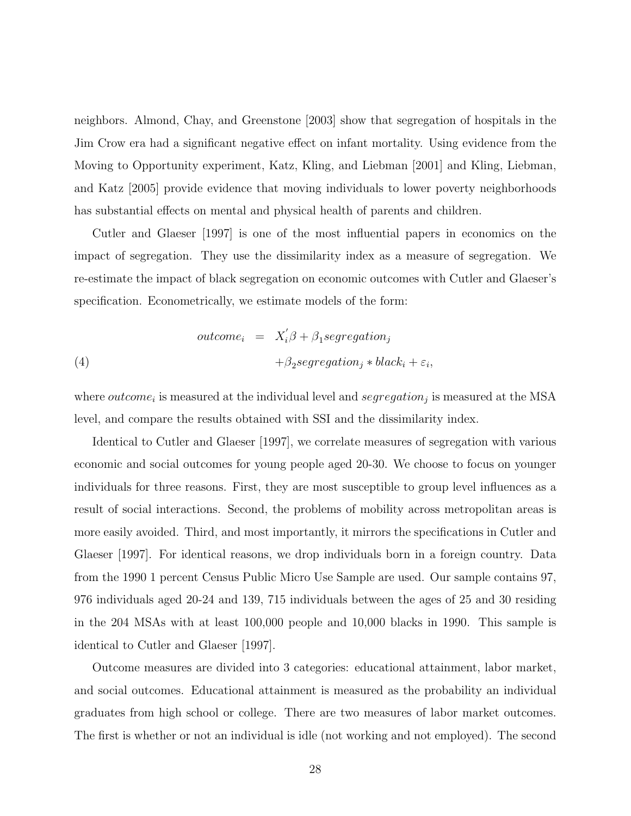neighbors. Almond, Chay, and Greenstone [2003] show that segregation of hospitals in the Jim Crow era had a significant negative effect on infant mortality. Using evidence from the Moving to Opportunity experiment, Katz, Kling, and Liebman [2001] and Kling, Liebman, and Katz [2005] provide evidence that moving individuals to lower poverty neighborhoods has substantial effects on mental and physical health of parents and children.

Cutler and Glaeser [1997] is one of the most influential papers in economics on the impact of segregation. They use the dissimilarity index as a measure of segregation. We re-estimate the impact of black segregation on economic outcomes with Cutler and Glaeser's specification. Econometrically, we estimate models of the form:

(4)

\n
$$
\begin{aligned}\n\text{outcome}_i &= X_i' \beta + \beta_1 \text{segregation}_j \\
&\quad + \beta_2 \text{segregation}_j * \text{black}_i + \varepsilon_i,\n\end{aligned}
$$

where *outcome<sub>i</sub>* is measured at the individual level and *segregation<sub>j</sub>* is measured at the MSA level, and compare the results obtained with SSI and the dissimilarity index.

Identical to Cutler and Glaeser [1997], we correlate measures of segregation with various economic and social outcomes for young people aged 20-30. We choose to focus on younger individuals for three reasons. First, they are most susceptible to group level influences as a result of social interactions. Second, the problems of mobility across metropolitan areas is more easily avoided. Third, and most importantly, it mirrors the specifications in Cutler and Glaeser [1997]. For identical reasons, we drop individuals born in a foreign country. Data from the 1990 1 percent Census Public Micro Use Sample are used. Our sample contains 97, 976 individuals aged 20-24 and 139, 715 individuals between the ages of 25 and 30 residing in the 204 MSAs with at least 100,000 people and 10,000 blacks in 1990. This sample is identical to Cutler and Glaeser [1997].

Outcome measures are divided into 3 categories: educational attainment, labor market, and social outcomes. Educational attainment is measured as the probability an individual graduates from high school or college. There are two measures of labor market outcomes. The first is whether or not an individual is idle (not working and not employed). The second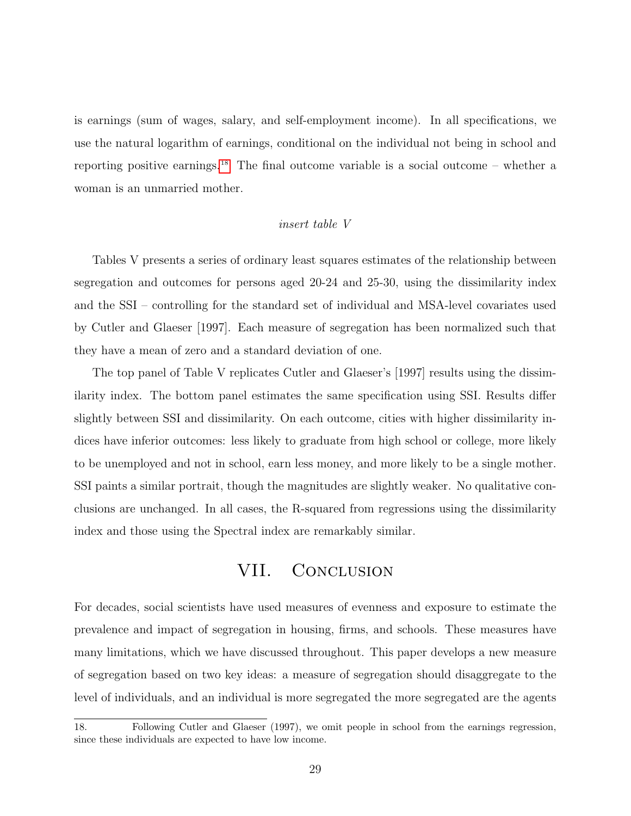is earnings (sum of wages, salary, and self-employment income). In all specifications, we use the natural logarithm of earnings, conditional on the individual not being in school and reporting positive earnings.<sup>[18](#page--1-0)</sup> The final outcome variable is a social outcome – whether a woman is an unmarried mother.

### insert table V

Tables V presents a series of ordinary least squares estimates of the relationship between segregation and outcomes for persons aged 20-24 and 25-30, using the dissimilarity index and the SSI – controlling for the standard set of individual and MSA-level covariates used by Cutler and Glaeser [1997]. Each measure of segregation has been normalized such that they have a mean of zero and a standard deviation of one.

The top panel of Table V replicates Cutler and Glaeser's [1997] results using the dissimilarity index. The bottom panel estimates the same specification using SSI. Results differ slightly between SSI and dissimilarity. On each outcome, cities with higher dissimilarity indices have inferior outcomes: less likely to graduate from high school or college, more likely to be unemployed and not in school, earn less money, and more likely to be a single mother. SSI paints a similar portrait, though the magnitudes are slightly weaker. No qualitative conclusions are unchanged. In all cases, the R-squared from regressions using the dissimilarity index and those using the Spectral index are remarkably similar.

## VII. CONCLUSION

<span id="page-28-0"></span>For decades, social scientists have used measures of evenness and exposure to estimate the prevalence and impact of segregation in housing, firms, and schools. These measures have many limitations, which we have discussed throughout. This paper develops a new measure of segregation based on two key ideas: a measure of segregation should disaggregate to the level of individuals, and an individual is more segregated the more segregated are the agents

<sup>18.</sup> Following Cutler and Glaeser (1997), we omit people in school from the earnings regression, since these individuals are expected to have low income.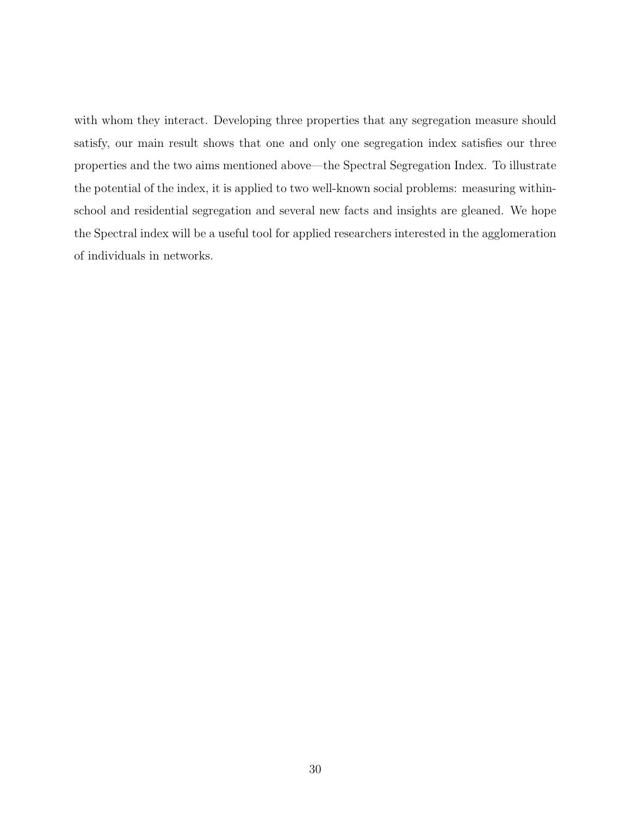with whom they interact. Developing three properties that any segregation measure should satisfy, our main result shows that one and only one segregation index satisfies our three properties and the two aims mentioned above—the Spectral Segregation Index. To illustrate the potential of the index, it is applied to two well-known social problems: measuring withinschool and residential segregation and several new facts and insights are gleaned. We hope the Spectral index will be a useful tool for applied researchers interested in the agglomeration of individuals in networks.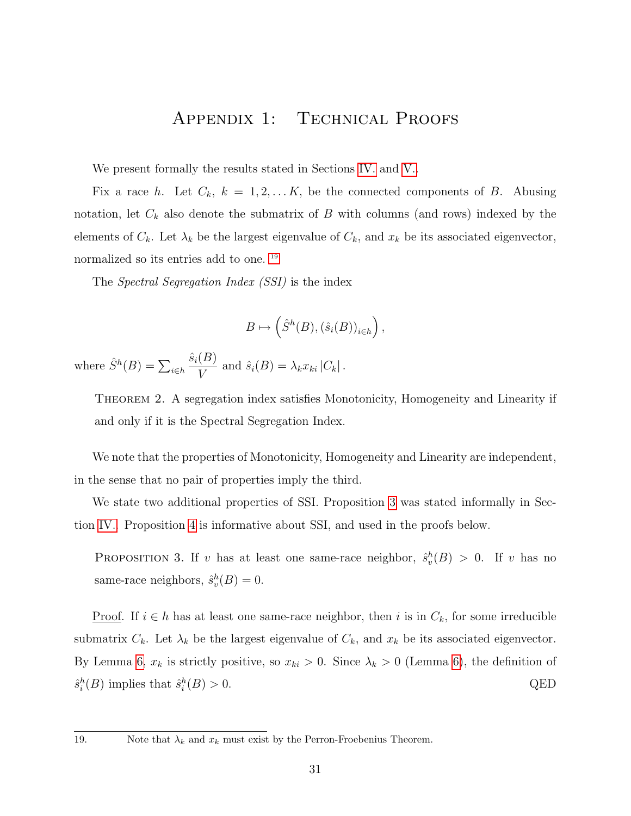## Appendix 1: Technical Proofs

<span id="page-30-1"></span>We present formally the results stated in Sections [IV.](#page-9-0) and [V..](#page-14-0)

Fix a race h. Let  $C_k$ ,  $k = 1, 2, \ldots K$ , be the connected components of B. Abusing notation, let  $C_k$  also denote the submatrix of B with columns (and rows) indexed by the elements of  $C_k$ . Let  $\lambda_k$  be the largest eigenvalue of  $C_k$ , and  $x_k$  be its associated eigenvector, normalized so its entries add to one.<sup>[19](#page--1-0)</sup>

The Spectral Segregation Index (SSI) is the index

$$
B \mapsto \left(\hat{S}^h(B), (\hat{s}_i(B))_{i \in h}\right),\,
$$

<span id="page-30-3"></span>where  $\hat{S}^h(B) = \sum_{i \in h}$  $\hat{s}_i(B)$  $\frac{\Delta(y)}{V}$  and  $\hat{s}_i(B) = \lambda_k x_{ki} |C_k|$ .

Theorem 2. A segregation index satisfies Monotonicity, Homogeneity and Linearity if and only if it is the Spectral Segregation Index.

We note that the properties of Monotonicity, Homogeneity and Linearity are independent, in the sense that no pair of properties imply the third.

We state two additional properties of SSI. Proposition [3](#page-30-0) was stated informally in Section [IV..](#page-9-0) Proposition [4](#page-30-2) is informative about SSI, and used in the proofs below.

<span id="page-30-0"></span>PROPOSITION 3. If v has at least one same-race neighbor,  $\hat{s}_v^h(B) > 0$ . If v has no same-race neighbors,  $\hat{s}_v^h(B) = 0$ .

<u>Proof</u>. If  $i \in h$  has at least one same-race neighbor, then i is in  $C_k$ , for some irreducible submatrix  $C_k$ . Let  $\lambda_k$  be the largest eigenvalue of  $C_k$ , and  $x_k$  be its associated eigenvector. By Lemma [6,](#page-31-1)  $x_k$  is strictly positive, so  $x_{ki} > 0$ . Since  $\lambda_k > 0$  (Lemma [6\)](#page-31-1), the definition of  $\hat{s}_i^h(B)$  implies that  $\hat{s}_i^h(B) > 0$ . QED

<span id="page-30-2"></span><sup>19.</sup> Note that  $\lambda_k$  and  $x_k$  must exist by the Perron-Froebenius Theorem.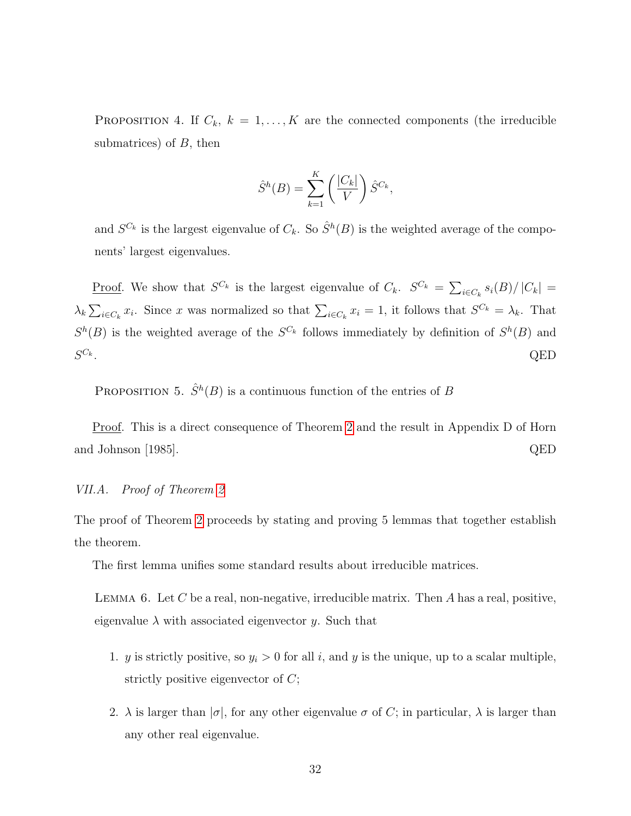PROPOSITION 4. If  $C_k$ ,  $k = 1, ..., K$  are the connected components (the irreducible submatrices) of  $B$ , then

$$
\hat{S}^h(B) = \sum_{k=1}^K \left(\frac{|C_k|}{V}\right) \hat{S}^{C_k},
$$

and  $S^{C_k}$  is the largest eigenvalue of  $C_k$ . So  $\hat{S}^h(B)$  is the weighted average of the components' largest eigenvalues.

<u>Proof</u>. We show that  $S^{C_k}$  is the largest eigenvalue of  $C_k$ .  $S^{C_k} = \sum_{i \in C_k} s_i(B)/|C_k|$  $\lambda_k \sum_{i \in C_k} x_i$ . Since x was normalized so that  $\sum_{i \in C_k} x_i = 1$ , it follows that  $S^{C_k} = \lambda_k$ . That  $S^h(B)$  is the weighted average of the  $S^{C_k}$  follows immediately by definition of  $S^h(B)$  and  $S^{C_k}$ .  $C_k$ . QED

<span id="page-31-0"></span>PROPOSITION 5.  $\hat{S}^h(B)$  is a continuous function of the entries of B

Proof. This is a direct consequence of Theorem [2](#page-30-3) and the result in Appendix D of Horn and Johnson [1985]. QED

#### VII.A. Proof of Theorem [2](#page-30-3)

The proof of Theorem [2](#page-30-3) proceeds by stating and proving 5 lemmas that together establish the theorem.

<span id="page-31-1"></span>The first lemma unifies some standard results about irreducible matrices.

LEMMA 6. Let C be a real, non-negative, irreducible matrix. Then A has a real, positive, eigenvalue  $\lambda$  with associated eigenvector y. Such that

- 1. y is strictly positive, so  $y_i > 0$  for all i, and y is the unique, up to a scalar multiple, strictly positive eigenvector of  $C$ ;
- 2.  $\lambda$  is larger than  $|\sigma|$ , for any other eigenvalue  $\sigma$  of C; in particular,  $\lambda$  is larger than any other real eigenvalue.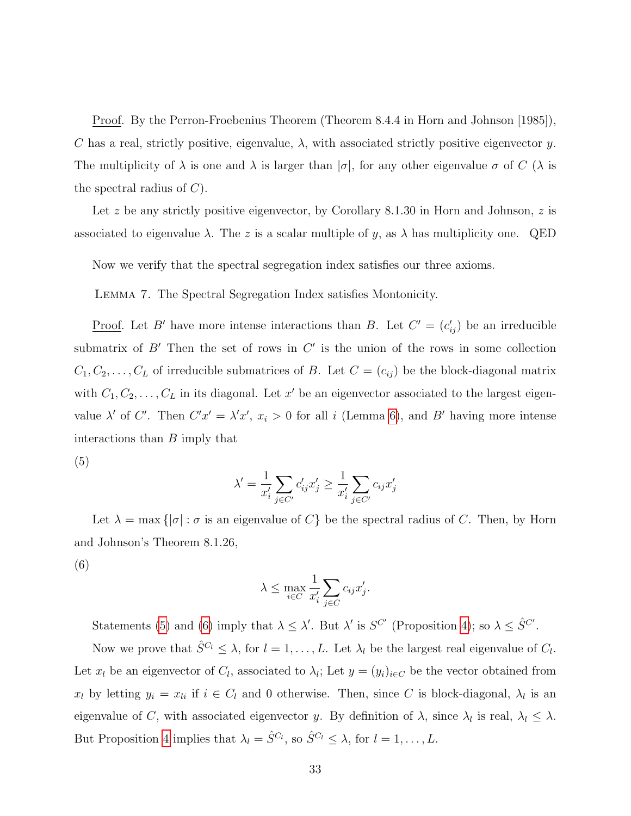Proof. By the Perron-Froebenius Theorem (Theorem 8.4.4 in Horn and Johnson [1985]), C has a real, strictly positive, eigenvalue,  $\lambda$ , with associated strictly positive eigenvector y. The multiplicity of  $\lambda$  is one and  $\lambda$  is larger than  $|\sigma|$ , for any other eigenvalue  $\sigma$  of C ( $\lambda$  is the spectral radius of  $C$ ).

Let z be any strictly positive eigenvector, by Corollary 8.1.30 in Horn and Johnson, z is associated to eigenvalue  $\lambda$ . The z is a scalar multiple of y, as  $\lambda$  has multiplicity one. QED

<span id="page-32-2"></span>Now we verify that the spectral segregation index satisfies our three axioms.

Lemma 7. The Spectral Segregation Index satisfies Montonicity.

<u>Proof</u>. Let B' have more intense interactions than B. Let  $C' = (c'_{ij})$  be an irreducible submatrix of  $B'$  Then the set of rows in  $C'$  is the union of the rows in some collection  $C_1, C_2, \ldots, C_L$  of irreducible submatrices of B. Let  $C = (c_{ij})$  be the block-diagonal matrix with  $C_1, C_2, \ldots, C_L$  in its diagonal. Let x' be an eigenvector associated to the largest eigenvalue  $\lambda'$  of C'. Then  $C'x' = \lambda'x'$ ,  $x_i > 0$  for all i (Lemma [6\)](#page-31-1), and B' having more intense interactions than B imply that

(5)

<span id="page-32-1"></span><span id="page-32-0"></span>
$$
\lambda' = \frac{1}{x'_i}\sum_{j\in C'} c'_{ij}x'_j \geq \frac{1}{x'_i}\sum_{j\in C'} c_{ij}x'_j
$$

Let  $\lambda = \max\{|\sigma| : \sigma \text{ is an eigenvalue of } C\}$  be the spectral radius of C. Then, by Horn and Johnson's Theorem 8.1.26,

(6)

$$
\lambda \le \max_{i \in C} \frac{1}{x'_i} \sum_{j \in C} c_{ij} x'_j.
$$

Statements [\(5\)](#page-32-0) and [\(6\)](#page-32-1) imply that  $\lambda \leq \lambda'$ . But  $\lambda'$  is  $S^{C'}$  (Proposition [4\)](#page-30-2); so  $\lambda \leq \hat{S}^{C'}$ .

Now we prove that  $\hat{S}^{C_l} \leq \lambda$ , for  $l = 1, \ldots, L$ . Let  $\lambda_l$  be the largest real eigenvalue of  $C_l$ . Let  $x_l$  be an eigenvector of  $C_l$ , associated to  $\lambda_l$ ; Let  $y = (y_i)_{i \in C}$  be the vector obtained from  $x_l$  by letting  $y_i = x_{li}$  if  $i \in C_l$  and 0 otherwise. Then, since C is block-diagonal,  $\lambda_l$  is an eigenvalue of C, with associated eigenvector y. By definition of  $\lambda$ , since  $\lambda_l$  is real,  $\lambda_l \leq \lambda$ . But Proposition [4](#page-30-2) implies that  $\lambda_l = \hat{S}^{C_l}$ , so  $\hat{S}^{C_l} \leq \lambda$ , for  $l = 1, ..., L$ .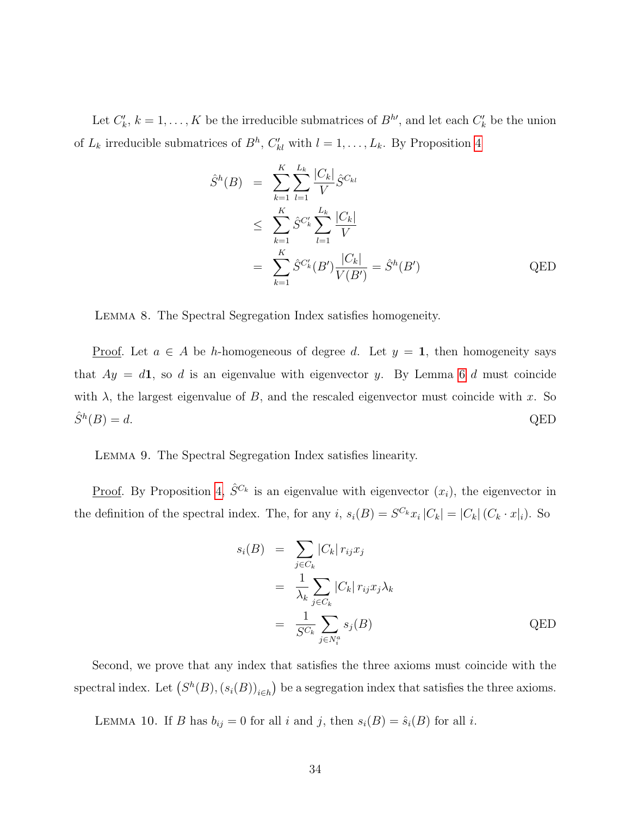Let  $C'_{k}$ ,  $k = 1, \ldots, K$  be the irreducible submatrices of  $B^{h'}$ , and let each  $C'_{k}$  be the union of  $L_k$  irreducible submatrices of  $B^h$ ,  $C'_{kl}$  with  $l = 1, \ldots, L_k$ . By Proposition [4](#page-30-2)

$$
\hat{S}^{h}(B) = \sum_{k=1}^{K} \sum_{l=1}^{L_{k}} \frac{|C_{k}|}{V} \hat{S}^{C_{kl}} \n\leq \sum_{k=1}^{K} \hat{S}^{C'_{k}} \sum_{l=1}^{L_{k}} \frac{|C_{k}|}{V} \n= \sum_{k=1}^{K} \hat{S}^{C'_{k}}(B') \frac{|C_{k}|}{V(B')} = \hat{S}^{h}(B') \qquad \text{QED}
$$

Lemma 8. The Spectral Segregation Index satisfies homogeneity.

<u>Proof</u>. Let  $a \in A$  be h-homogeneous of degree d. Let  $y = 1$ , then homogeneity says that  $Ay = d1$ , so d is an eigenvalue with eigenvector y. By Lemma [6](#page-31-1) d must coincide with  $\lambda$ , the largest eigenvalue of B, and the rescaled eigenvector must coincide with x. So  $\hat{S}^h(B) = d.$  $(B) = d.$  QED

Lemma 9. The Spectral Segregation Index satisfies linearity.

<u>Proof</u>. By Proposition [4,](#page-30-2)  $\hat{S}^{C_k}$  is an eigenvalue with eigenvector  $(x_i)$ , the eigenvector in the definition of the spectral index. The, for any i,  $s_i(B) = S^{C_k} x_i |C_k| = |C_k| (C_k \cdot x_i)$ . So

$$
s_i(B) = \sum_{j \in C_k} |C_k| r_{ij} x_j
$$
  
= 
$$
\frac{1}{\lambda_k} \sum_{j \in C_k} |C_k| r_{ij} x_j \lambda_k
$$
  
= 
$$
\frac{1}{S C_k} \sum_{j \in N_i^a} s_j(B)
$$
 QED

Second, we prove that any index that satisfies the three axioms must coincide with the spectral index. Let  $(S^h(B), (s_i(B))_{i\in h})$  be a segregation index that satisfies the three axioms.

<span id="page-33-0"></span>LEMMA 10. If B has  $b_{ij} = 0$  for all i and j, then  $s_i(B) = \hat{s}_i(B)$  for all i.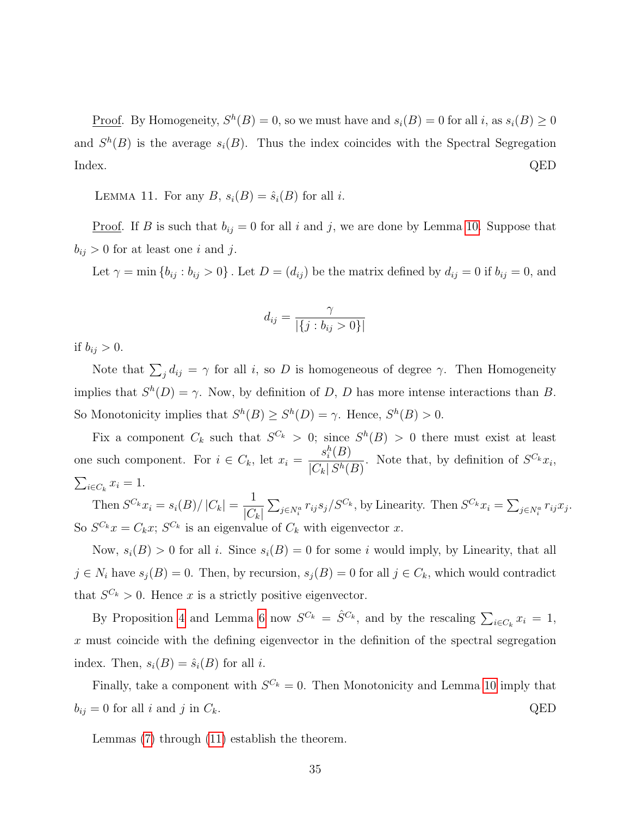<u>Proof</u>. By Homogeneity,  $S^h(B) = 0$ , so we must have and  $s_i(B) = 0$  for all i, as  $s_i(B) \ge 0$ and  $S^h(B)$  is the average  $s_i(B)$ . Thus the index coincides with the Spectral Segregation Index. QED

<span id="page-34-0"></span>LEMMA 11. For any  $B, s_i(B) = \hat{s}_i(B)$  for all i.

<u>Proof</u>. If B is such that  $b_{ij} = 0$  for all i and j, we are done by Lemma [10.](#page-33-0) Suppose that  $b_{ij} > 0$  for at least one i and j.

Let  $\gamma = \min \{b_{ij} : b_{ij} > 0\}$ . Let  $D = (d_{ij})$  be the matrix defined by  $d_{ij} = 0$  if  $b_{ij} = 0$ , and

$$
d_{ij} = \frac{\gamma}{|\{j : b_{ij} > 0\}|}
$$

if  $b_{ij} > 0$ .

Note that  $\sum_j d_{ij} = \gamma$  for all i, so D is homogeneous of degree  $\gamma$ . Then Homogeneity implies that  $S^h(D) = \gamma$ . Now, by definition of D, D has more intense interactions than B. So Monotonicity implies that  $S^h(B) \geq S^h(D) = \gamma$ . Hence,  $S^h(B) > 0$ .

Fix a component  $C_k$  such that  $S^{C_k} > 0$ ; since  $S^h(B) > 0$  there must exist at least one such component. For  $i \in C_k$ , let  $x_i = \frac{s_i^h(B)}{|C| |\mathcal{S}_k|}$  $\frac{S_i(D)}{|C_k| S^h(B)}$ . Note that, by definition of  $S^{C_k}x_i$ ,  $\sum_{i\in C_k} x_i = 1.$ 

Then  $S^{C_k} x_i = s_i(B)/|C_k| = \frac{1}{|C|}$  $|C_k|$  $\sum_{j \in N_i^a} r_{ij} s_j / S^{C_k}$ , by Linearity. Then  $S^{C_k} x_i = \sum_{j \in N_i^a} r_{ij} x_j$ . So  $S^{C_k}x = C_kx$ ;  $S^{C_k}$  is an eigenvalue of  $C_k$  with eigenvector x.

Now,  $s_i(B) > 0$  for all i. Since  $s_i(B) = 0$  for some i would imply, by Linearity, that all  $j \in N_i$  have  $s_j(B) = 0$ . Then, by recursion,  $s_j(B) = 0$  for all  $j \in C_k$ , which would contradict that  $S^{C_k} > 0$ . Hence x is a strictly positive eigenvector.

By Proposition [4](#page-30-2) and Lemma [6](#page-31-1) now  $S^{C_k} = \hat{S}^{C_k}$ , and by the rescaling  $\sum_{i \in C_k} x_i = 1$ ,  $x$  must coincide with the defining eigenvector in the definition of the spectral segregation index. Then,  $s_i(B) = \hat{s}_i(B)$  for all *i*.

Finally, take a component with  $S^{C_k} = 0$ . Then Monotonicity and Lemma [10](#page-33-0) imply that  $b_{ij} = 0$  for all i and j in  $C_k$ . QED

Lemmas [\(7\)](#page-32-2) through [\(11\)](#page-34-0) establish the theorem.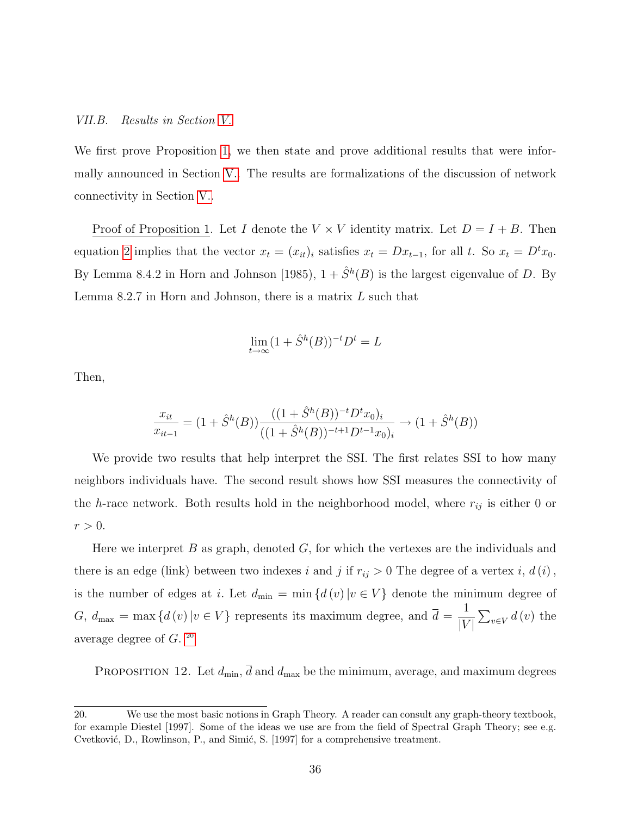#### VII.B. Results in Section [V.](#page-14-0)

We first prove Proposition [1,](#page-15-1) we then state and prove additional results that were informally announced in Section [V..](#page-14-0) The results are formalizations of the discussion of network connectivity in Section [V..](#page-14-0)

Proof of Proposition 1. Let I denote the  $V \times V$  identity matrix. Let  $D = I + B$ . Then equation [2](#page-15-0) implies that the vector  $x_t = (x_{it})_i$  satisfies  $x_t = Dx_{t-1}$ , for all t. So  $x_t = D^t x_0$ . By Lemma 8.4.2 in Horn and Johnson [1985),  $1 + \hat{S}^h(B)$  is the largest eigenvalue of D. By Lemma 8.2.7 in Horn and Johnson, there is a matrix  $L$  such that

$$
\lim_{t \to \infty} (1 + \hat{S}^h(B))^{-t} D^t = L
$$

Then,

$$
\frac{x_{it}}{x_{it-1}} = (1 + \hat{S}^h(B)) \frac{((1 + \hat{S}^h(B))^{-t} D^t x_0)_i}{((1 + \hat{S}^h(B))^{-t+1} D^{t-1} x_0)_i} \to (1 + \hat{S}^h(B))
$$

We provide two results that help interpret the SSI. The first relates SSI to how many neighbors individuals have. The second result shows how SSI measures the connectivity of the h-race network. Both results hold in the neighborhood model, where  $r_{ij}$  is either 0 or  $r > 0$ .

Here we interpret  $B$  as graph, denoted  $G$ , for which the vertexes are the individuals and there is an edge (link) between two indexes i and j if  $r_{ij} > 0$  The degree of a vertex i,  $d(i)$ , is the number of edges at i. Let  $d_{\min} = \min \{d(v) | v \in V\}$  denote the minimum degree of  $G, d_{\text{max}} = \max \{d(v) | v \in V\}$  represents its maximum degree, and  $\overline{d} = \frac{1}{W}$  $|V|$  $\sum_{v\in V} d(v)$  the average degree of G. [20](#page--1-0)

<span id="page-35-0"></span>PROPOSITION 12. Let  $d_{\min}$ ,  $\overline{d}$  and  $d_{\max}$  be the minimum, average, and maximum degrees

<sup>20.</sup> We use the most basic notions in Graph Theory. A reader can consult any graph-theory textbook, for example Diestel [1997]. Some of the ideas we use are from the field of Spectral Graph Theory; see e.g. Cvetković, D., Rowlinson, P., and Simić, S. [1997] for a comprehensive treatment.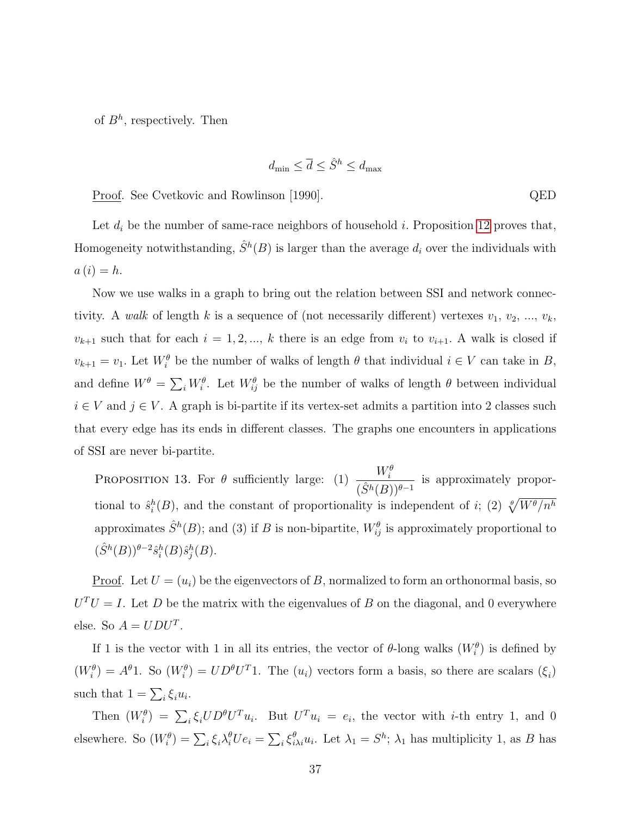of  $B^h$ , respectively. Then

$$
d_{\min} \leq \overline{d} \leq \hat{S}^h \leq d_{\max}
$$

Proof. See Cvetkovic and Rowlinson [1990]. QED

Let  $d_i$  be the number of same-race neighbors of household i. Proposition [12](#page-35-0) proves that, Homogeneity notwithstanding,  $\hat{S}^h(B)$  is larger than the average  $d_i$  over the individuals with  $a(i) = h.$ 

Now we use walks in a graph to bring out the relation between SSI and network connectivity. A walk of length k is a sequence of (not necessarily different) vertexes  $v_1, v_2, ..., v_k$ ,  $v_{k+1}$  such that for each  $i = 1, 2, ..., k$  there is an edge from  $v_i$  to  $v_{i+1}$ . A walk is closed if  $v_{k+1} = v_1$ . Let  $W_i^{\theta}$  be the number of walks of length  $\theta$  that individual  $i \in V$  can take in  $B$ , and define  $W^{\theta} = \sum_{i} W_{i}^{\theta}$ . Let  $W_{ij}^{\theta}$  be the number of walks of length  $\theta$  between individual  $i \in V$  and  $j \in V$ . A graph is bi-partite if its vertex-set admits a partition into 2 classes such that every edge has its ends in different classes. The graphs one encounters in applications of SSI are never bi-partite.

<span id="page-36-0"></span>**PROPOSITION 13.** For  $\theta$  sufficiently large: (1)  $\frac{W_i^{\theta}}{(\hat{\theta}^T_i)^2}$  $\frac{N_i}{(\hat{S}^h(B))^{\theta-1}}$  is approximately proportional to  $\hat{s}_i^h(B)$ , and the constant of proportionality is independent of i; (2)  $\sqrt[\theta]{W^{\theta}/n^h}$ approximates  $\hat{S}^h(B)$ ; and (3) if B is non-bipartite,  $W_{ij}^{\theta}$  is approximately proportional to  $(\hat{S}^h(B))^{\theta-2} \hat{s}_i^h(B) \hat{s}_j^h(B)$ .

<u>Proof</u>. Let  $U = (u_i)$  be the eigenvectors of B, normalized to form an orthonormal basis, so  $U<sup>T</sup>U = I$ . Let D be the matrix with the eigenvalues of B on the diagonal, and 0 everywhere else. So  $A = UDU^{T}$ .

If 1 is the vector with 1 in all its entries, the vector of  $\theta$ -long walks  $(W_i^{\theta})$  is defined by  $(W_i^{\theta}) = A^{\theta}1$ . So  $(W_i^{\theta}) = UD^{\theta}U^T1$ . The  $(u_i)$  vectors form a basis, so there are scalars  $(\xi_i)$ such that  $1 = \sum_i \xi_i u_i$ .

Then  $(W_i^{\theta}) = \sum_i \xi_i U D^{\theta} U^T u_i$ . But  $U^T u_i = e_i$ , the vector with *i*-th entry 1, and 0 elsewhere. So  $(W_i^{\theta}) = \sum_i \xi_i \lambda_i^{\theta} U e_i = \sum_i \xi_{i\lambda i}^{\theta} u_i$ . Let  $\lambda_1 = S^h$ ;  $\lambda_1$  has multiplicity 1, as B has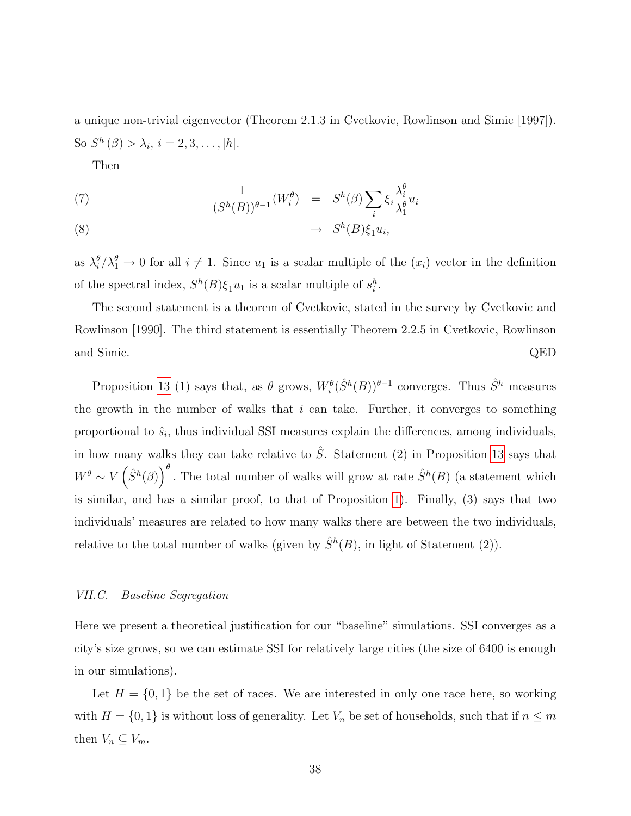a unique non-trivial eigenvector (Theorem 2.1.3 in Cvetkovic, Rowlinson and Simic [1997]). So  $S^h(\beta) > \lambda_i, i = 2, 3, ..., |h|.$ 

Then

(7) 
$$
\frac{1}{(S^h(B))^{\theta-1}}(W_i^{\theta}) = S^h(\beta) \sum_i \xi_i \frac{\lambda_i^{\theta}}{\lambda_1^{\theta}} u_i
$$

$$
(8) \qquad \qquad \rightarrow \quad S^h(B)\xi_1 u_i,
$$

as  $\lambda_i^{\theta}$  $\frac{\theta}{i}/\lambda_1^{\theta} \to 0$  for all  $i \neq 1$ . Since  $u_1$  is a scalar multiple of the  $(x_i)$  vector in the definition of the spectral index,  $S^h(B)\xi_1u_1$  is a scalar multiple of  $s_i^h$ .

The second statement is a theorem of Cvetkovic, stated in the survey by Cvetkovic and Rowlinson [1990]. The third statement is essentially Theorem 2.2.5 in Cvetkovic, Rowlinson and Simic. QED

Proposition [13](#page-36-0) (1) says that, as  $\theta$  grows,  $W_i^{\theta}(\hat{S}^h(B))^{\theta-1}$  converges. Thus  $\hat{S}^h$  measures the growth in the number of walks that  $i$  can take. Further, it converges to something proportional to  $\hat{s}_i$ , thus individual SSI measures explain the differences, among individuals, in how many walks they can take relative to  $\hat{S}$ . Statement (2) in Proposition [13](#page-36-0) says that  $W^{\theta} \sim V\left(\hat{S}^{h}(\beta)\right)^{\theta}$ . The total number of walks will grow at rate  $\hat{S}^{h}(B)$  (a statement which is similar, and has a similar proof, to that of Proposition [1\)](#page-15-1). Finally, (3) says that two individuals' measures are related to how many walks there are between the two individuals, relative to the total number of walks (given by  $\hat{S}^h(B)$ , in light of Statement (2)).

#### VII.C. Baseline Segregation

Here we present a theoretical justification for our "baseline" simulations. SSI converges as a city's size grows, so we can estimate SSI for relatively large cities (the size of 6400 is enough in our simulations).

Let  $H = \{0, 1\}$  be the set of races. We are interested in only one race here, so working with  $H = \{0, 1\}$  is without loss of generality. Let  $V_n$  be set of households, such that if  $n \leq m$ then  $V_n \subseteq V_m$ .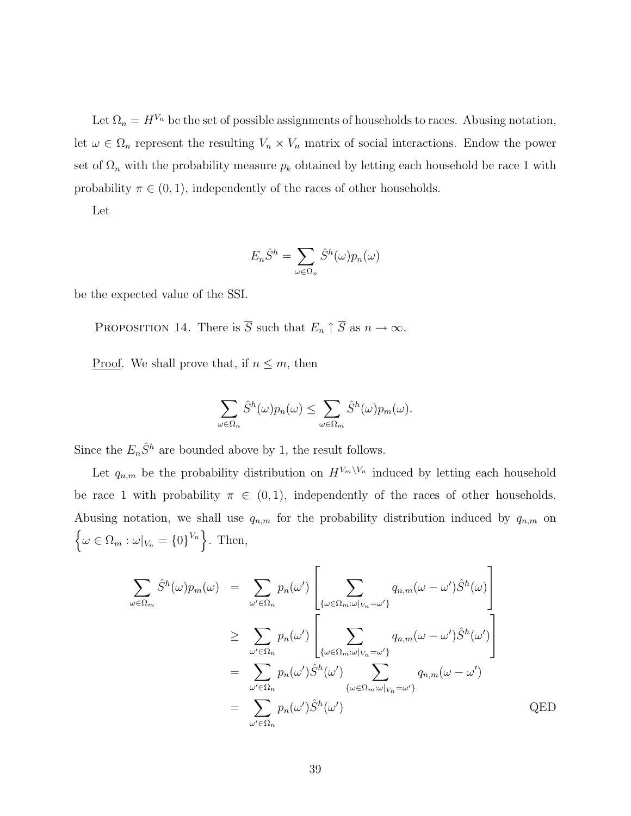Let  $\Omega_n = H^{V_n}$  be the set of possible assignments of households to races. Abusing notation, let  $\omega \in \Omega_n$  represent the resulting  $V_n \times V_n$  matrix of social interactions. Endow the power set of  $\Omega_n$  with the probability measure  $p_k$  obtained by letting each household be race 1 with probability  $\pi \in (0, 1)$ , independently of the races of other households.

Let

$$
E_n \hat{S}^h = \sum_{\omega \in \Omega_n} \hat{S}^h(\omega) p_n(\omega)
$$

be the expected value of the SSI.

PROPOSITION 14. There is  $\overline{S}$  such that  $E_n \uparrow \overline{S}$  as  $n \to \infty$ .

<u>Proof</u>. We shall prove that, if  $n \leq m$ , then

$$
\sum_{\omega \in \Omega_n} \hat{S}^h(\omega) p_n(\omega) \le \sum_{\omega \in \Omega_m} \hat{S}^h(\omega) p_m(\omega).
$$

Since the  $E_n\hat{S}^h$  are bounded above by 1, the result follows.

Let  $q_{n,m}$  be the probability distribution on  $H^{V_m\setminus V_n}$  induced by letting each household be race 1 with probability  $\pi \in (0,1)$ , independently of the races of other households. Abusing notation, we shall use  $q_{n,m}$  for the probability distribution induced by  $q_{n,m}$  on  $\{\omega \in \Omega_m : \omega|_{V_n} = \{0\}^{V_n}\}.$  Then,

$$
\sum_{\omega \in \Omega_m} \hat{S}^h(\omega) p_m(\omega) = \sum_{\omega' \in \Omega_n} p_n(\omega') \left[ \sum_{\{\omega \in \Omega_m : \omega|_{V_n} = \omega'\}} q_{n,m}(\omega - \omega') \hat{S}^h(\omega) \right]
$$
  
\n
$$
\geq \sum_{\omega' \in \Omega_n} p_n(\omega') \left[ \sum_{\{\omega \in \Omega_m : \omega|_{V_n} = \omega'\}} q_{n,m}(\omega - \omega') \hat{S}^h(\omega') \right]
$$
  
\n
$$
= \sum_{\omega' \in \Omega_n} p_n(\omega') \hat{S}^h(\omega') \sum_{\{\omega \in \Omega_m : \omega|_{V_n} = \omega'\}} q_{n,m}(\omega - \omega')
$$
  
\n
$$
= \sum_{\omega' \in \Omega_n} p_n(\omega') \hat{S}^h(\omega')
$$
 QED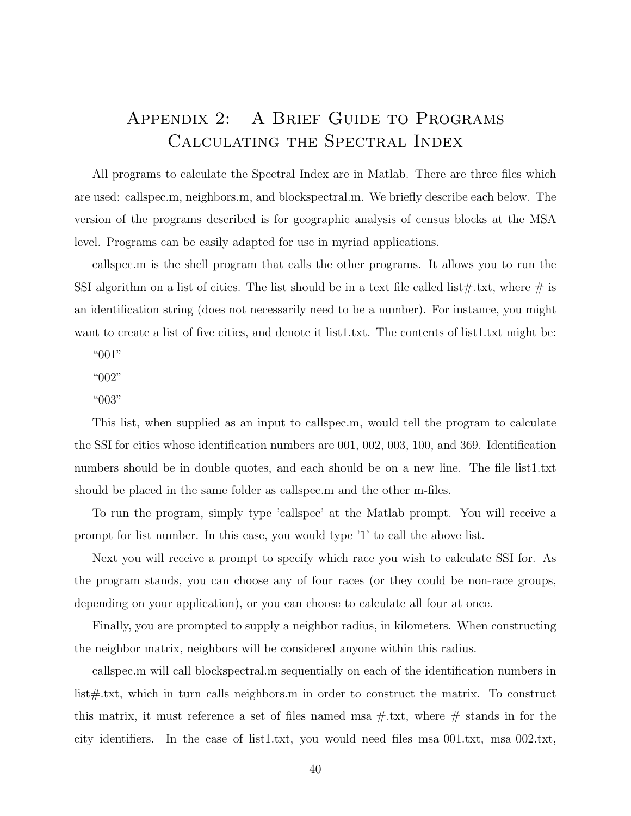# Appendix 2: A Brief Guide to Programs Calculating the Spectral Index

All programs to calculate the Spectral Index are in Matlab. There are three files which are used: callspec.m, neighbors.m, and blockspectral.m. We briefly describe each below. The version of the programs described is for geographic analysis of census blocks at the MSA level. Programs can be easily adapted for use in myriad applications.

callspec.m is the shell program that calls the other programs. It allows you to run the SSI algorithm on a list of cities. The list should be in a text file called list#.txt, where  $\#$  is an identification string (does not necessarily need to be a number). For instance, you might want to create a list of five cities, and denote it list1.txt. The contents of list1.txt might be:

"001"

"002"

"003"

This list, when supplied as an input to callspec.m, would tell the program to calculate the SSI for cities whose identification numbers are 001, 002, 003, 100, and 369. Identification numbers should be in double quotes, and each should be on a new line. The file list1.txt should be placed in the same folder as callspec.m and the other m-files.

To run the program, simply type 'callspec' at the Matlab prompt. You will receive a prompt for list number. In this case, you would type '1' to call the above list.

Next you will receive a prompt to specify which race you wish to calculate SSI for. As the program stands, you can choose any of four races (or they could be non-race groups, depending on your application), or you can choose to calculate all four at once.

Finally, you are prompted to supply a neighbor radius, in kilometers. When constructing the neighbor matrix, neighbors will be considered anyone within this radius.

callspec.m will call blockspectral.m sequentially on each of the identification numbers in list#.txt, which in turn calls neighbors.m in order to construct the matrix. To construct this matrix, it must reference a set of files named msa $\#$ .txt, where  $\#$  stands in for the city identifiers. In the case of list1.txt, you would need files msa 001.txt, msa 002.txt,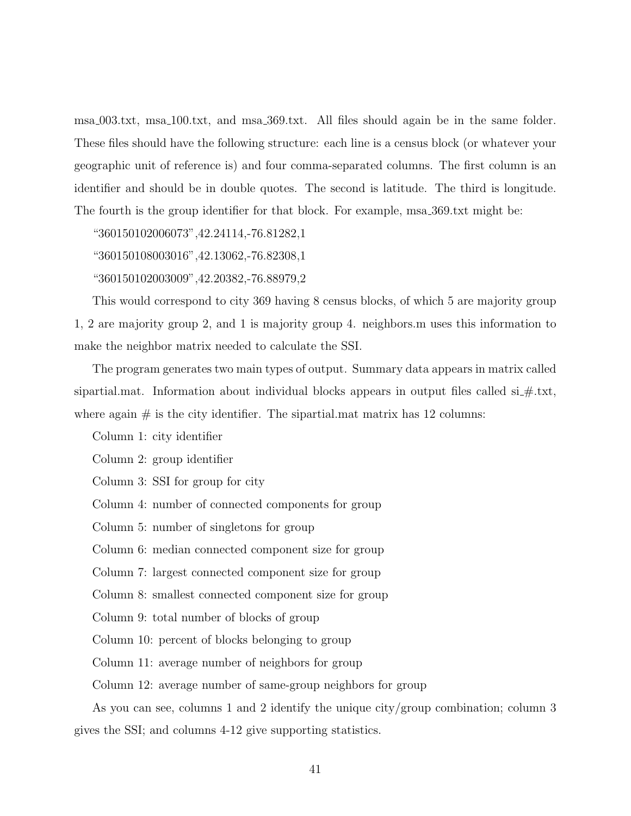msa 003.txt, msa 100.txt, and msa 369.txt. All files should again be in the same folder. These files should have the following structure: each line is a census block (or whatever your geographic unit of reference is) and four comma-separated columns. The first column is an identifier and should be in double quotes. The second is latitude. The third is longitude. The fourth is the group identifier for that block. For example, msa 369.txt might be:

"360150102006073",42.24114,-76.81282,1

"360150108003016",42.13062,-76.82308,1

"360150102003009",42.20382,-76.88979,2

This would correspond to city 369 having 8 census blocks, of which 5 are majority group 1, 2 are majority group 2, and 1 is majority group 4. neighbors.m uses this information to make the neighbor matrix needed to calculate the SSI.

The program generates two main types of output. Summary data appears in matrix called sipartial.mat. Information about individual blocks appears in output files called  $si$   $\#$ .txt, where again  $\#$  is the city identifier. The sipartial matrix has 12 columns:

Column 1: city identifier

Column 2: group identifier

Column 3: SSI for group for city

Column 4: number of connected components for group

Column 5: number of singletons for group

Column 6: median connected component size for group

Column 7: largest connected component size for group

Column 8: smallest connected component size for group

Column 9: total number of blocks of group

Column 10: percent of blocks belonging to group

Column 11: average number of neighbors for group

Column 12: average number of same-group neighbors for group

As you can see, columns 1 and 2 identify the unique city/group combination; column 3 gives the SSI; and columns 4-12 give supporting statistics.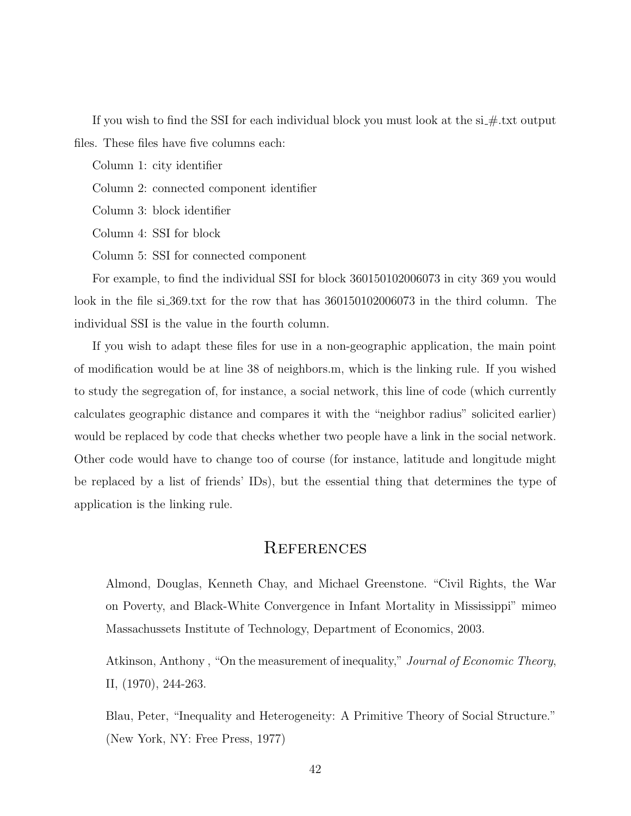If you wish to find the SSI for each individual block you must look at the  $si$ #.txt output files. These files have five columns each:

Column 1: city identifier

Column 2: connected component identifier

Column 3: block identifier

Column 4: SSI for block

Column 5: SSI for connected component

For example, to find the individual SSI for block 360150102006073 in city 369 you would look in the file si 369.txt for the row that has  $360150102006073$  in the third column. The individual SSI is the value in the fourth column.

If you wish to adapt these files for use in a non-geographic application, the main point of modification would be at line 38 of neighbors.m, which is the linking rule. If you wished to study the segregation of, for instance, a social network, this line of code (which currently calculates geographic distance and compares it with the "neighbor radius" solicited earlier) would be replaced by code that checks whether two people have a link in the social network. Other code would have to change too of course (for instance, latitude and longitude might be replaced by a list of friends' IDs), but the essential thing that determines the type of application is the linking rule.

## **REFERENCES**

Almond, Douglas, Kenneth Chay, and Michael Greenstone. "Civil Rights, the War on Poverty, and Black-White Convergence in Infant Mortality in Mississippi" mimeo Massachussets Institute of Technology, Department of Economics, 2003.

Atkinson, Anthony, "On the measurement of inequality," *Journal of Economic Theory*, II, (1970), 244-263.

Blau, Peter, "Inequality and Heterogeneity: A Primitive Theory of Social Structure." (New York, NY: Free Press, 1977)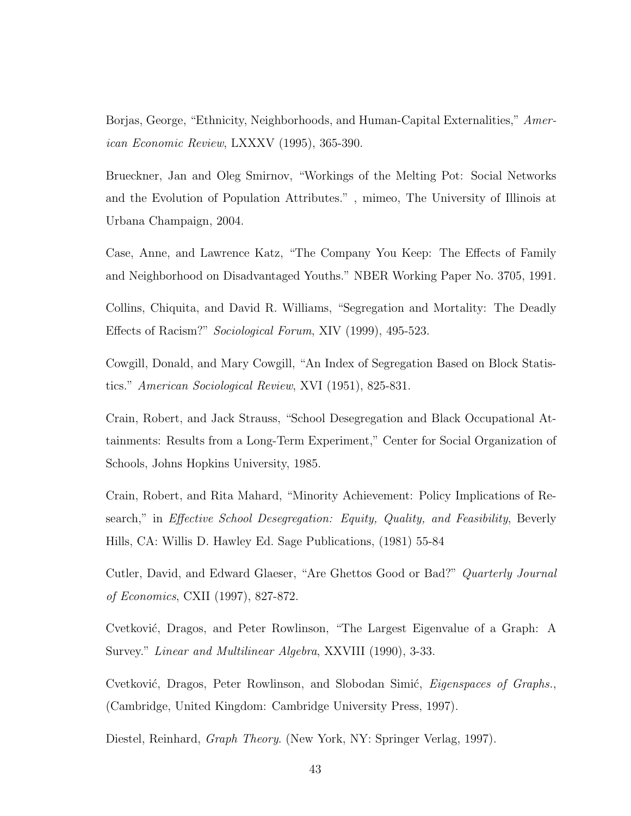Borjas, George, "Ethnicity, Neighborhoods, and Human-Capital Externalities," American Economic Review, LXXXV (1995), 365-390.

Brueckner, Jan and Oleg Smirnov, "Workings of the Melting Pot: Social Networks and the Evolution of Population Attributes." , mimeo, The University of Illinois at Urbana Champaign, 2004.

Case, Anne, and Lawrence Katz, "The Company You Keep: The Effects of Family and Neighborhood on Disadvantaged Youths." NBER Working Paper No. 3705, 1991.

Collins, Chiquita, and David R. Williams, "Segregation and Mortality: The Deadly Effects of Racism?" Sociological Forum, XIV (1999), 495-523.

Cowgill, Donald, and Mary Cowgill, "An Index of Segregation Based on Block Statistics." American Sociological Review, XVI (1951), 825-831.

Crain, Robert, and Jack Strauss, "School Desegregation and Black Occupational Attainments: Results from a Long-Term Experiment," Center for Social Organization of Schools, Johns Hopkins University, 1985.

Crain, Robert, and Rita Mahard, "Minority Achievement: Policy Implications of Research," in Effective School Desegregation: Equity, Quality, and Feasibility, Beverly Hills, CA: Willis D. Hawley Ed. Sage Publications, (1981) 55-84

Cutler, David, and Edward Glaeser, "Are Ghettos Good or Bad?" Quarterly Journal of Economics, CXII (1997), 827-872.

Cvetković, Dragos, and Peter Rowlinson, "The Largest Eigenvalue of a Graph: A Survey." Linear and Multilinear Algebra, XXVIII (1990), 3-33.

Cvetković, Dragos, Peter Rowlinson, and Slobodan Simić, *Eigenspaces of Graphs.*, (Cambridge, United Kingdom: Cambridge University Press, 1997).

Diestel, Reinhard, Graph Theory. (New York, NY: Springer Verlag, 1997).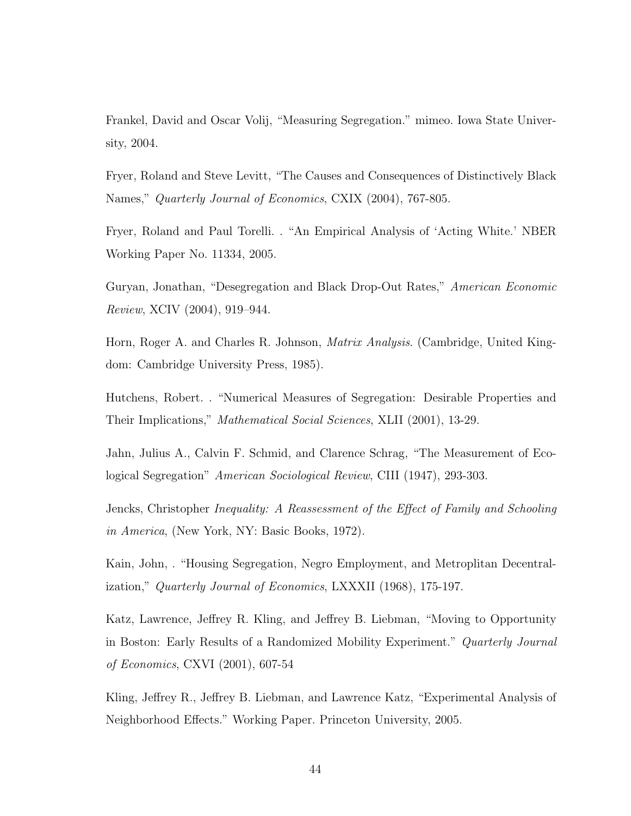Frankel, David and Oscar Volij, "Measuring Segregation." mimeo. Iowa State University, 2004.

Fryer, Roland and Steve Levitt, "The Causes and Consequences of Distinctively Black Names," Quarterly Journal of Economics, CXIX (2004), 767-805.

Fryer, Roland and Paul Torelli. . "An Empirical Analysis of 'Acting White.' NBER Working Paper No. 11334, 2005.

Guryan, Jonathan, "Desegregation and Black Drop-Out Rates," American Economic Review, XCIV (2004), 919–944.

Horn, Roger A. and Charles R. Johnson, Matrix Analysis. (Cambridge, United Kingdom: Cambridge University Press, 1985).

Hutchens, Robert. . "Numerical Measures of Segregation: Desirable Properties and Their Implications," Mathematical Social Sciences, XLII (2001), 13-29.

Jahn, Julius A., Calvin F. Schmid, and Clarence Schrag, "The Measurement of Ecological Segregation" American Sociological Review, CIII (1947), 293-303.

Jencks, Christopher Inequality: A Reassessment of the Effect of Family and Schooling in America, (New York, NY: Basic Books, 1972).

Kain, John, . "Housing Segregation, Negro Employment, and Metroplitan Decentralization," Quarterly Journal of Economics, LXXXII (1968), 175-197.

Katz, Lawrence, Jeffrey R. Kling, and Jeffrey B. Liebman, "Moving to Opportunity in Boston: Early Results of a Randomized Mobility Experiment." Quarterly Journal of Economics, CXVI (2001), 607-54

Kling, Jeffrey R., Jeffrey B. Liebman, and Lawrence Katz, "Experimental Analysis of Neighborhood Effects." Working Paper. Princeton University, 2005.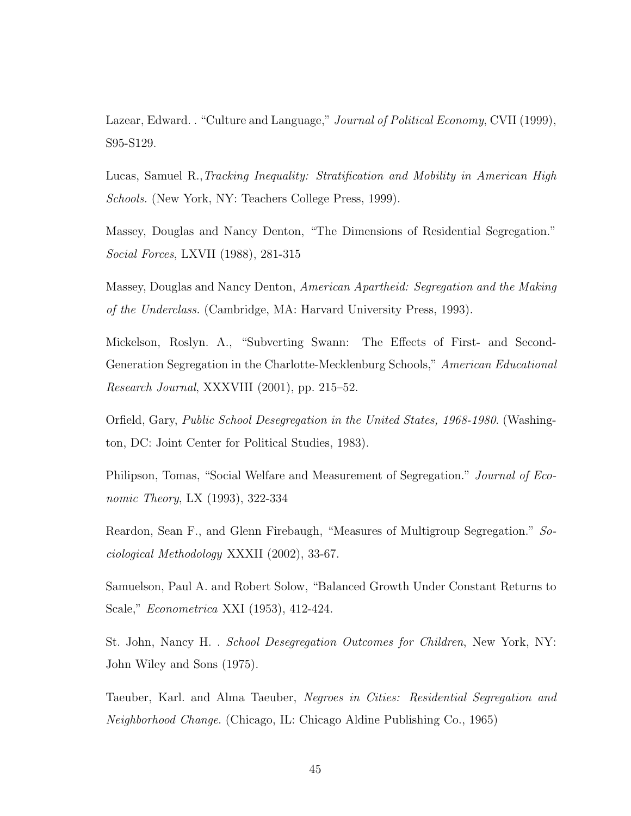Lazear, Edward. . "Culture and Language," *Journal of Political Economy*, CVII (1999), S95-S129.

Lucas, Samuel R.,Tracking Inequality: Stratification and Mobility in American High Schools. (New York, NY: Teachers College Press, 1999).

Massey, Douglas and Nancy Denton, "The Dimensions of Residential Segregation." Social Forces, LXVII (1988), 281-315

Massey, Douglas and Nancy Denton, American Apartheid: Segregation and the Making of the Underclass. (Cambridge, MA: Harvard University Press, 1993).

Mickelson, Roslyn. A., "Subverting Swann: The Effects of First- and Second-Generation Segregation in the Charlotte-Mecklenburg Schools," American Educational Research Journal, XXXVIII (2001), pp. 215–52.

Orfield, Gary, Public School Desegregation in the United States, 1968-1980. (Washington, DC: Joint Center for Political Studies, 1983).

Philipson, Tomas, "Social Welfare and Measurement of Segregation." Journal of Economic Theory, LX (1993), 322-334

Reardon, Sean F., and Glenn Firebaugh, "Measures of Multigroup Segregation." Sociological Methodology XXXII (2002), 33-67.

Samuelson, Paul A. and Robert Solow, "Balanced Growth Under Constant Returns to Scale," Econometrica XXI (1953), 412-424.

St. John, Nancy H. . School Desegregation Outcomes for Children, New York, NY: John Wiley and Sons (1975).

Taeuber, Karl. and Alma Taeuber, Negroes in Cities: Residential Segregation and Neighborhood Change. (Chicago, IL: Chicago Aldine Publishing Co., 1965)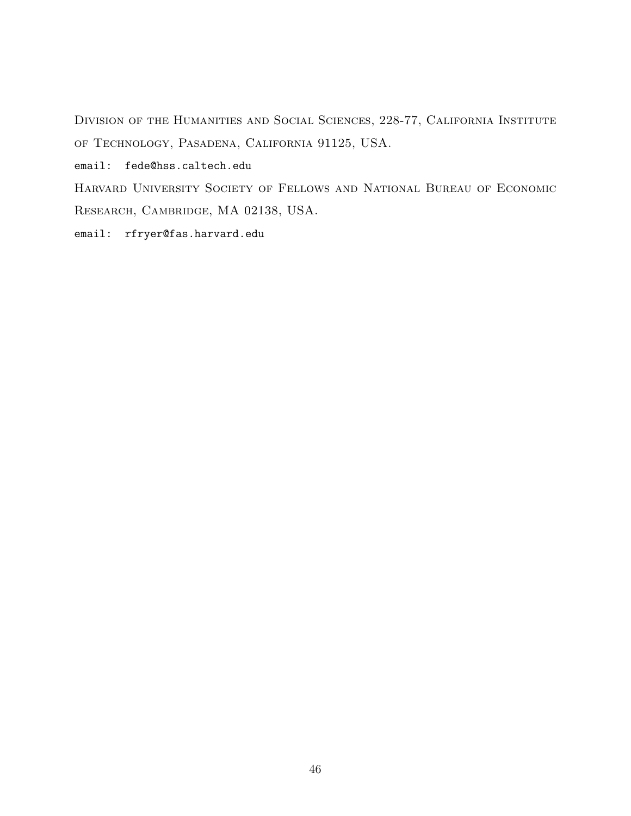Division of the Humanities and Social Sciences, 228-77, California Institute of Technology, Pasadena, California 91125, USA.

email: fede@hss.caltech.edu

Harvard University Society of Fellows and National Bureau of Economic Research, Cambridge, MA 02138, USA.

email: rfryer@fas.harvard.edu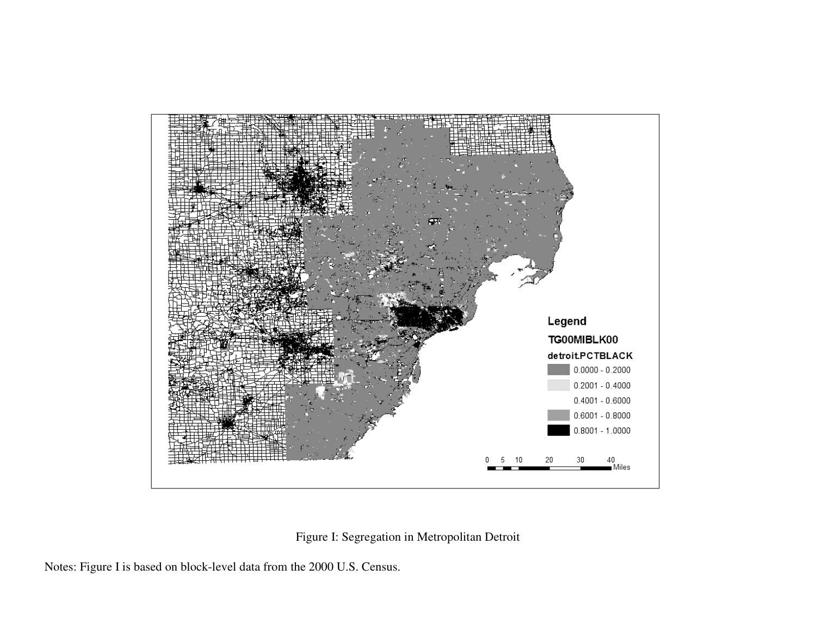

Figure I: Segregation in Metropolitan Detroit

Notes: Figure I is based on block-level data from the 2000 U.S. Census.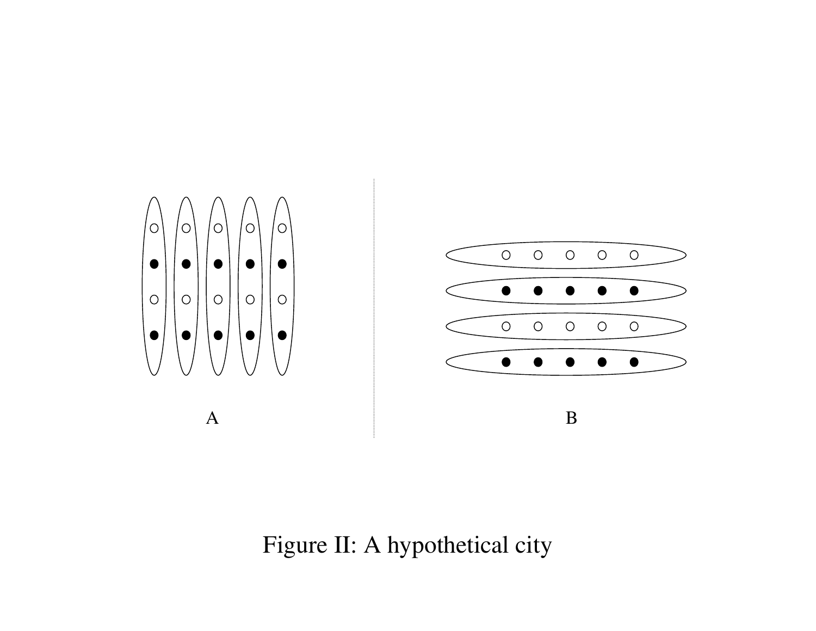

Figure II: A hypothetical city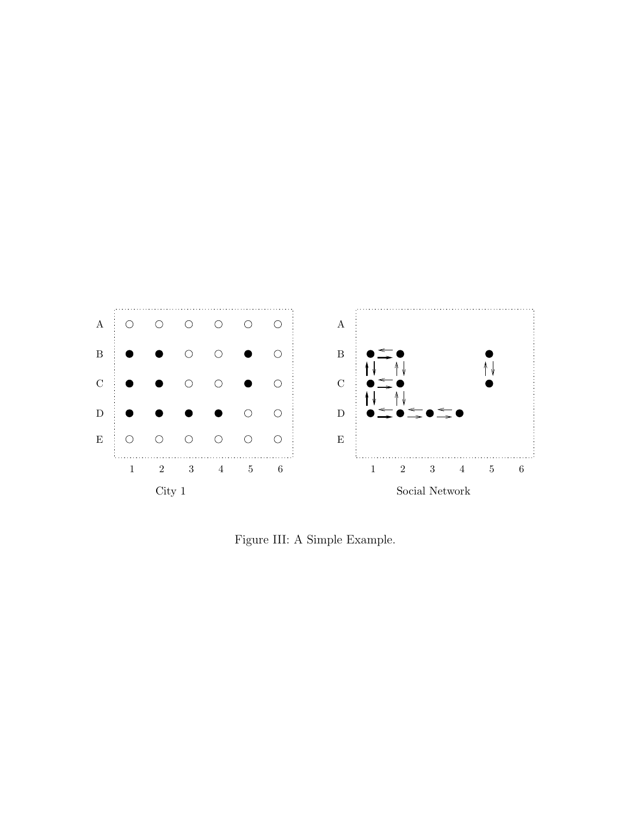

Figure III: A Simple Example.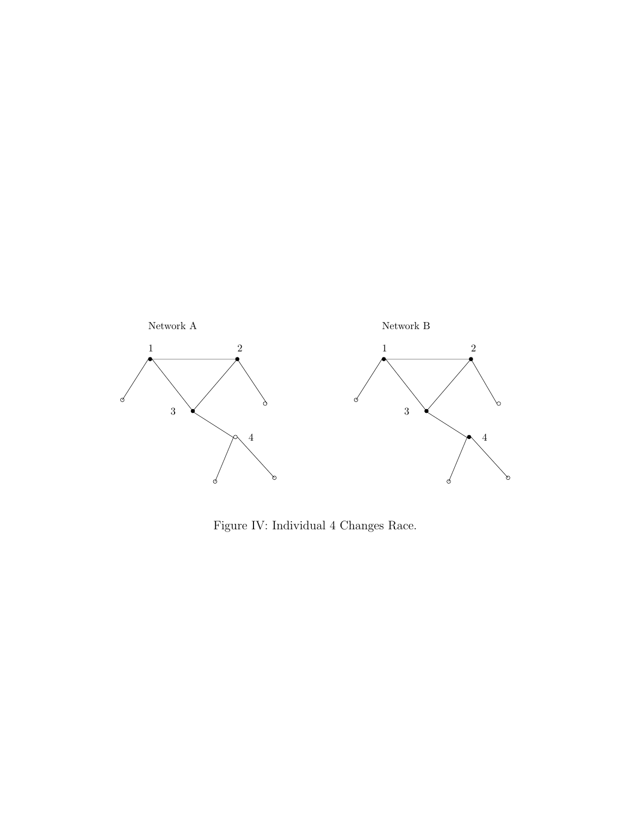

Figure IV: Individual 4 Changes Race.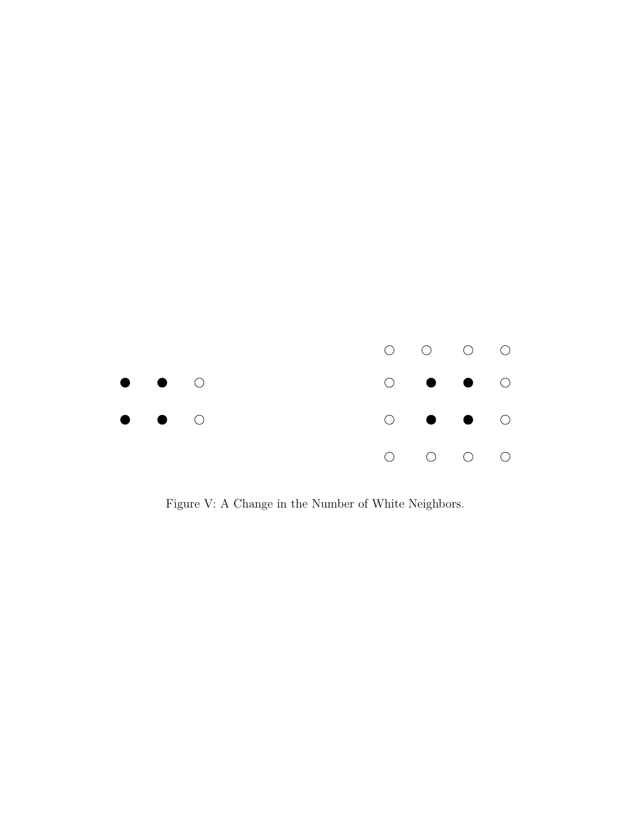

Figure V: A Change in the Number of White Neighbors.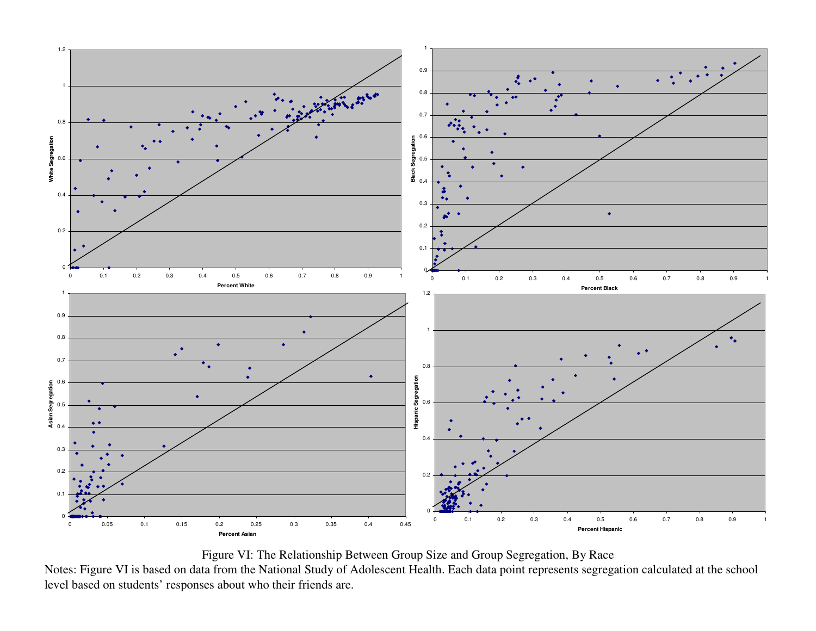

Figure VI: The Relationship Between Group Size and Group Segregation, By Race

Notes: Figure VI is based on data from the National Study of Adolescent Health. Each data point represents segregation calculated at the school level based on students' responses about who their friends are.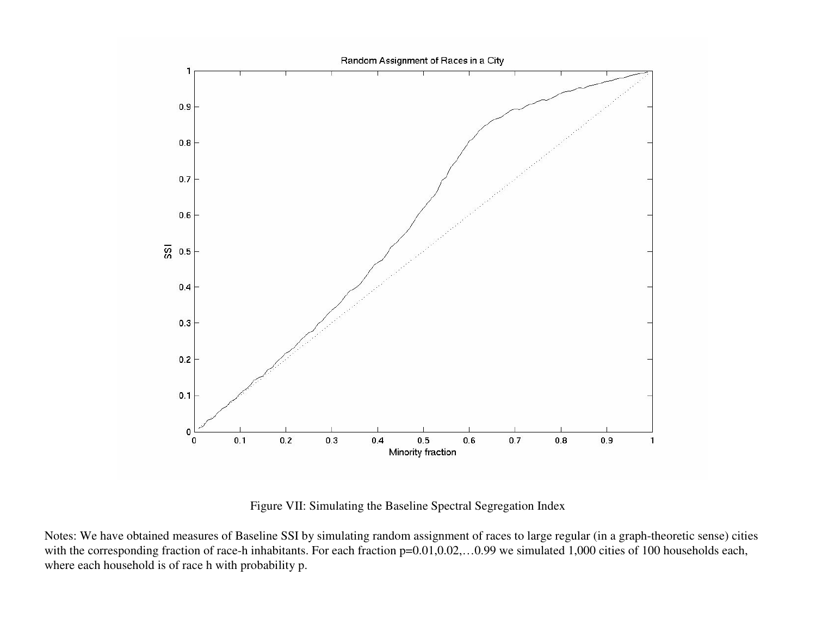

Figure VII: Simulating the Baseline Spectral Segregation Index

Notes: We have obtained measures of Baseline SSI by simulating random assignment of races to large regular (in <sup>a</sup> graph-theoretic sense) cities with the corresponding fraction of race-h inhabitants. For each fraction p=0.01,0.02,…0.99 we simulated 1,000 cities of 100 households each, where each household is of race h with probability p.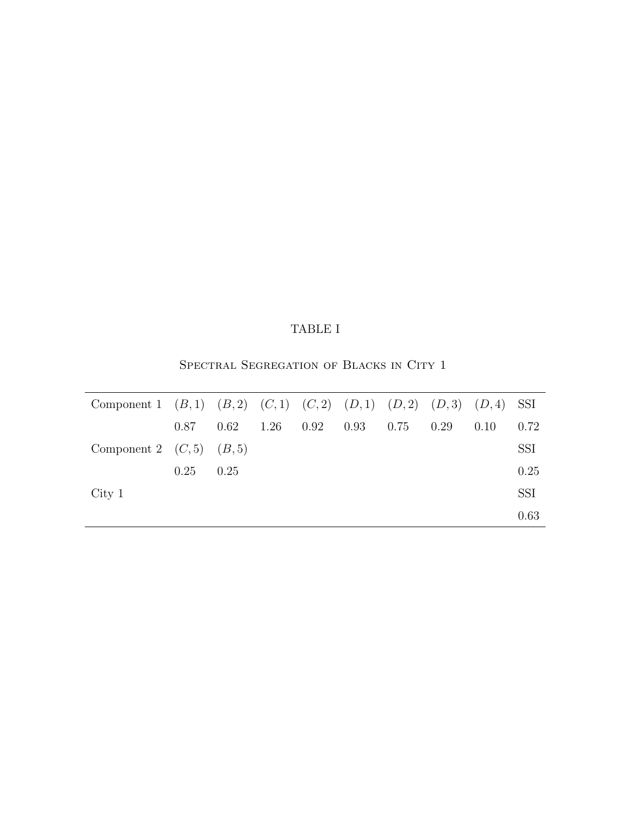## TABLE I

SPECTRAL SEGREGATION OF BLACKS IN CITY 1

| Component 1 $(B,1)$ $(B,2)$ $(C,1)$ $(C,2)$ $(D,1)$ $(D,2)$ $(D,3)$ $(D,4)$ SSI |      |      |      |      |      |      |      |      |            |
|---------------------------------------------------------------------------------|------|------|------|------|------|------|------|------|------------|
|                                                                                 | 0.87 | 0.62 | 1.26 | 0.92 | 0.93 | 0.75 | 0.29 | 0.10 | 0.72       |
| Component 2 $(C,5)$ $(B,5)$                                                     |      |      |      |      |      |      |      |      | <b>SSI</b> |
|                                                                                 | 0.25 | 0.25 |      |      |      |      |      |      | 0.25       |
| City 1                                                                          |      |      |      |      |      |      |      |      | <b>SSI</b> |
|                                                                                 |      |      |      |      |      |      |      |      | 0.63       |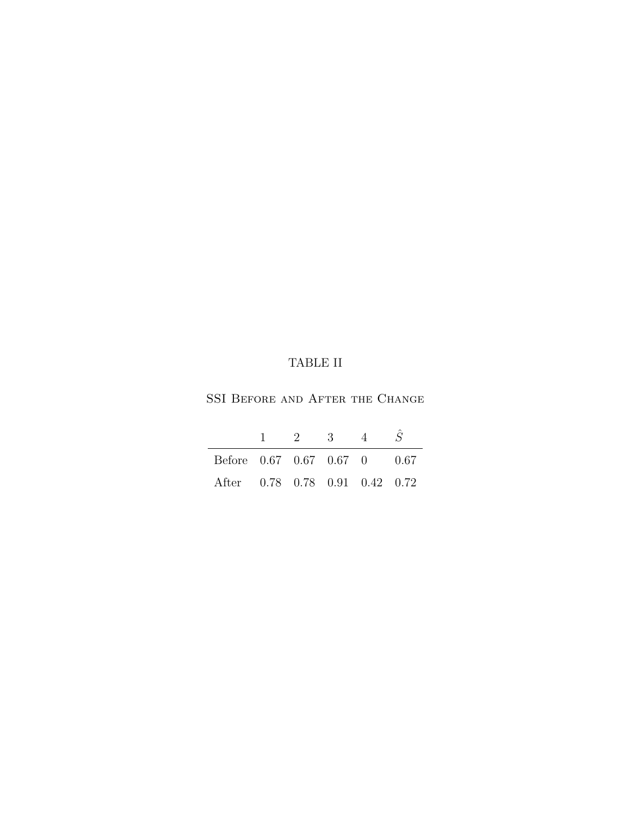## TABLE II

SSI BEFORE AND AFTER THE CHANGE

|                                | $\mathcal{D}$ | -3- | $\mathcal{A}$ |  |
|--------------------------------|---------------|-----|---------------|--|
| Before 0.67 0.67 0.67 0 0.67   |               |     |               |  |
| After 0.78 0.78 0.91 0.42 0.72 |               |     |               |  |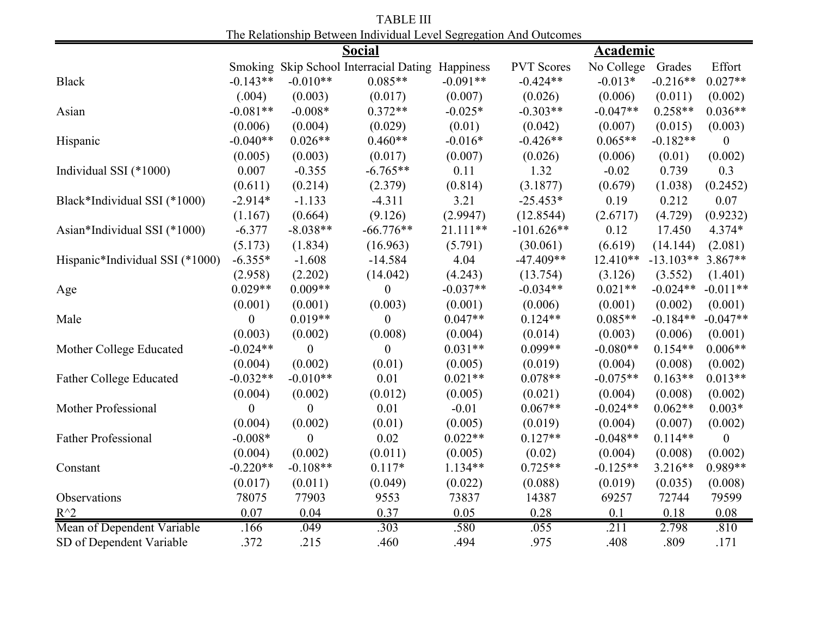| The includibility Detween marvioual Level Segregation And Outcomes |                  |                  |                                          |            |                   |                   |             |                |  |
|--------------------------------------------------------------------|------------------|------------------|------------------------------------------|------------|-------------------|-------------------|-------------|----------------|--|
|                                                                    |                  |                  | <b>Social</b>                            |            | <b>Academic</b>   |                   |             |                |  |
|                                                                    | Smoking          |                  | Skip School Interracial Dating Happiness |            | <b>PVT</b> Scores | No College        | Grades      | Effort         |  |
| <b>Black</b>                                                       | $-0.143**$       | $-0.010**$       | $0.085**$                                | $-0.091**$ | $-0.424**$        | $-0.013*$         | $-0.216**$  | $0.027**$      |  |
|                                                                    | (.004)           | (0.003)          | (0.017)                                  | (0.007)    | (0.026)           | (0.006)           | (0.011)     | (0.002)        |  |
| Asian                                                              | $-0.081**$       | $-0.008*$        | $0.372**$                                | $-0.025*$  | $-0.303**$        | $-0.047**$        | $0.258**$   | $0.036**$      |  |
|                                                                    | (0.006)          | (0.004)          | (0.029)                                  | (0.01)     | (0.042)           | (0.007)           | (0.015)     | (0.003)        |  |
| Hispanic                                                           | $-0.040**$       | $0.026**$        | $0.460**$                                | $-0.016*$  | $-0.426**$        | $0.065**$         | $-0.182**$  | $\overline{0}$ |  |
|                                                                    | (0.005)          | (0.003)          | (0.017)                                  | (0.007)    | (0.026)           | (0.006)           | (0.01)      | (0.002)        |  |
| Individual SSI (*1000)                                             | 0.007            | $-0.355$         | $-6.765**$                               | 0.11       | 1.32              | $-0.02$           | 0.739       | 0.3            |  |
|                                                                    | (0.611)          | (0.214)          | (2.379)                                  | (0.814)    | (3.1877)          | (0.679)           | (1.038)     | (0.2452)       |  |
| Black*Individual SSI (*1000)                                       | $-2.914*$        | $-1.133$         | $-4.311$                                 | 3.21       | $-25.453*$        | 0.19              | 0.212       | 0.07           |  |
|                                                                    | (1.167)          | (0.664)          | (9.126)                                  | (2.9947)   | (12.8544)         | (2.6717)          | (4.729)     | (0.9232)       |  |
| Asian*Individual SSI (*1000)                                       | $-6.377$         | $-8.038**$       | $-66.776**$                              | $21.111**$ | $-101.626**$      | 0.12              | 17.450      | 4.374*         |  |
|                                                                    | (5.173)          | (1.834)          | (16.963)                                 | (5.791)    | (30.061)          | (6.619)           | (14.144)    | (2.081)        |  |
| Hispanic*Individual SSI (*1000)                                    | $-6.355*$        | $-1.608$         | $-14.584$                                | 4.04       | $-47.409**$       | $12.410**$        | $-13.103**$ | $3.867**$      |  |
|                                                                    | (2.958)          | (2.202)          | (14.042)                                 | (4.243)    | (13.754)          | (3.126)           | (3.552)     | (1.401)        |  |
| Age                                                                | $0.029**$        | $0.009**$        | $\theta$                                 | $-0.037**$ | $-0.034**$        | $0.021**$         | $-0.024**$  | $-0.011**$     |  |
|                                                                    | (0.001)          | (0.001)          | (0.003)                                  | (0.001)    | (0.006)           | (0.001)           | (0.002)     | (0.001)        |  |
| Male                                                               | 0                | $0.019**$        | $\theta$                                 | $0.047**$  | $0.124**$         | $0.085**$         | $-0.184**$  | $-0.047**$     |  |
|                                                                    | (0.003)          | (0.002)          | (0.008)                                  | (0.004)    | (0.014)           | (0.003)           | (0.006)     | (0.001)        |  |
| Mother College Educated                                            | $-0.024**$       | $\boldsymbol{0}$ | $\boldsymbol{0}$                         | $0.031**$  | $0.099**$         | $-0.080**$        | $0.154**$   | $0.006**$      |  |
|                                                                    | (0.004)          | (0.002)          | (0.01)                                   | (0.005)    | (0.019)           | (0.004)           | (0.008)     | (0.002)        |  |
| <b>Father College Educated</b>                                     | $-0.032**$       | $-0.010**$       | 0.01                                     | $0.021**$  | $0.078**$         | $-0.075**$        | $0.163**$   | $0.013**$      |  |
|                                                                    | (0.004)          | (0.002)          | (0.012)                                  | (0.005)    | (0.021)           | (0.004)           | (0.008)     | (0.002)        |  |
| Mother Professional                                                | $\boldsymbol{0}$ | $\boldsymbol{0}$ | 0.01                                     | $-0.01$    | $0.067**$         | $-0.024**$        | $0.062**$   | $0.003*$       |  |
|                                                                    | (0.004)          | (0.002)          | (0.01)                                   | (0.005)    | (0.019)           | (0.004)           | (0.007)     | (0.002)        |  |
| <b>Father Professional</b>                                         | $-0.008*$        | $\overline{0}$   | 0.02                                     | $0.022**$  | $0.127**$         | $-0.048**$        | $0.114**$   | $\theta$       |  |
|                                                                    | (0.004)          | (0.002)          | (0.011)                                  | (0.005)    | (0.02)            | (0.004)           | (0.008)     | (0.002)        |  |
| Constant                                                           | $-0.220**$       | $-0.108**$       | $0.117*$                                 | 1.134**    | $0.725**$         | $-0.125**$        | $3.216**$   | 0.989**        |  |
|                                                                    | (0.017)          | (0.011)          | (0.049)                                  | (0.022)    | (0.088)           | (0.019)           | (0.035)     | (0.008)        |  |
| Observations                                                       | 78075            | 77903            | 9553                                     | 73837      | 14387             | 69257             | 72744       | 79599          |  |
| $R^{\wedge}2$                                                      | 0.07             | 0.04             | 0.37                                     | 0.05       | 0.28              | 0.1               | 0.18        | 0.08           |  |
| Mean of Dependent Variable                                         | .166             | .049             | .303                                     | .580       | .055              | $\overline{.211}$ | 2.798       | .810           |  |
| SD of Dependent Variable                                           | .372             | .215             | .460                                     | .494       | .975              | .408              | .809        | .171           |  |

TABLE III The Relationship Between Individual Level Segregation And Outcomes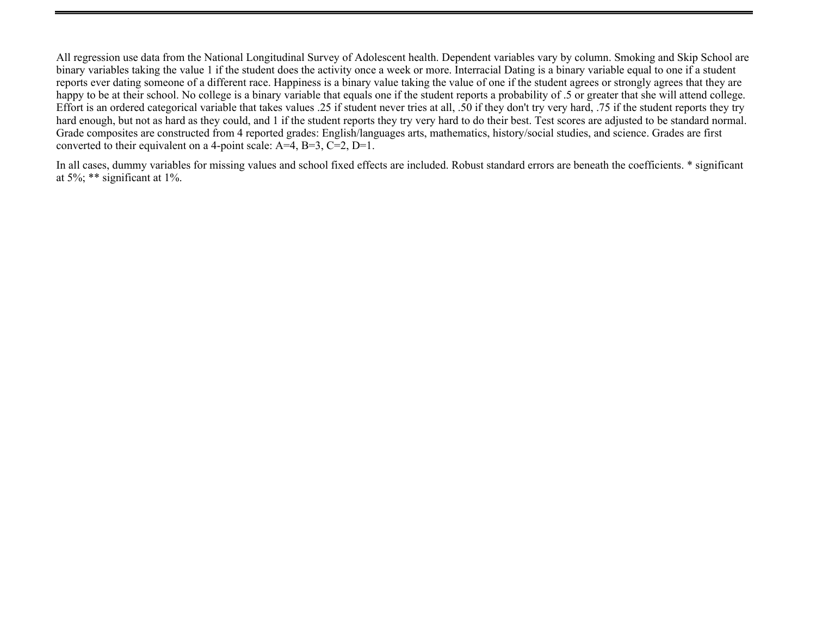All regression use data from the National Longitudinal Survey of Adolescent health. Dependent variables vary by column. Smoking and Skip School are binary variables taking the value 1 if the student does the activity once a week or more. Interracial Dating is a binary variable equal to one if a student reports ever dating someone of a different race. Happiness is a binary value taking the value of one if the student agrees or strongly agrees that they are happy to be at their school. No college is a binary variable that equals one if the student reports a probability of .5 or greater that she will attend college. Effort is an ordered categorical variable that takes values .25 if student never tries at all, .50 if they don't try very hard, .75 if the student reports they try hard enough, but not as hard as they could, and 1 if the student reports they try very hard to do their best. Test scores are adjusted to be standard normal. Grade composites are constructed from 4 reported grades: English/languages arts, mathematics, history/social studies, and science. Grades are first converted to their equivalent on a 4-point scale:  $A=4$ ,  $B=3$ ,  $C=2$ ,  $D=1$ .

In all cases, dummy variables for missing values and school fixed effects are included. Robust standard errors are beneath the coefficients. \* significant at 5%; \*\* significant at 1%.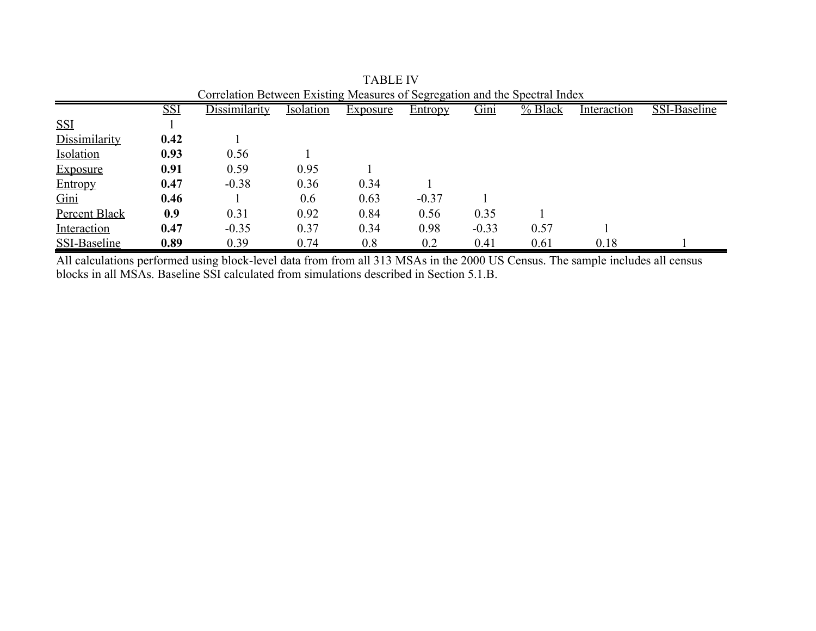| Correlation Between Existing Measures of Segregation and the Spectral Index |            |                      |                  |                 |                |         |         |             |              |
|-----------------------------------------------------------------------------|------------|----------------------|------------------|-----------------|----------------|---------|---------|-------------|--------------|
|                                                                             | <b>SSI</b> | <b>Dissimilarity</b> | <b>Isolation</b> | <b>Exposure</b> | <b>Entropy</b> | Gini    | % Black | Interaction | SSI-Baseline |
| <b>SSI</b>                                                                  |            |                      |                  |                 |                |         |         |             |              |
| Dissimilarity                                                               | 0.42       |                      |                  |                 |                |         |         |             |              |
| Isolation                                                                   | 0.93       | 0.56                 |                  |                 |                |         |         |             |              |
| <b>Exposure</b>                                                             | 0.91       | 0.59                 | 0.95             |                 |                |         |         |             |              |
| Entropy                                                                     | 0.47       | $-0.38$              | 0.36             | 0.34            |                |         |         |             |              |
| Gini                                                                        | 0.46       |                      | 0.6              | 0.63            | $-0.37$        |         |         |             |              |
| Percent Black                                                               | 0.9        | 0.31                 | 0.92             | 0.84            | 0.56           | 0.35    |         |             |              |
| Interaction                                                                 | 0.47       | $-0.35$              | 0.37             | 0.34            | 0.98           | $-0.33$ | 0.57    |             |              |
| SSI-Baseline                                                                | 0.89       | 0.39                 | 0.74             | 0.8             | 0.2            | 0.41    | 0.61    | 0.18        |              |

TABLE IV

All calculations performed using block-level data from from all 313 MSAs in the 2000 US Census. The sample includes all census blocks in all MSAs. Baseline SSI calculated from simulations described in Section 5.1.B.